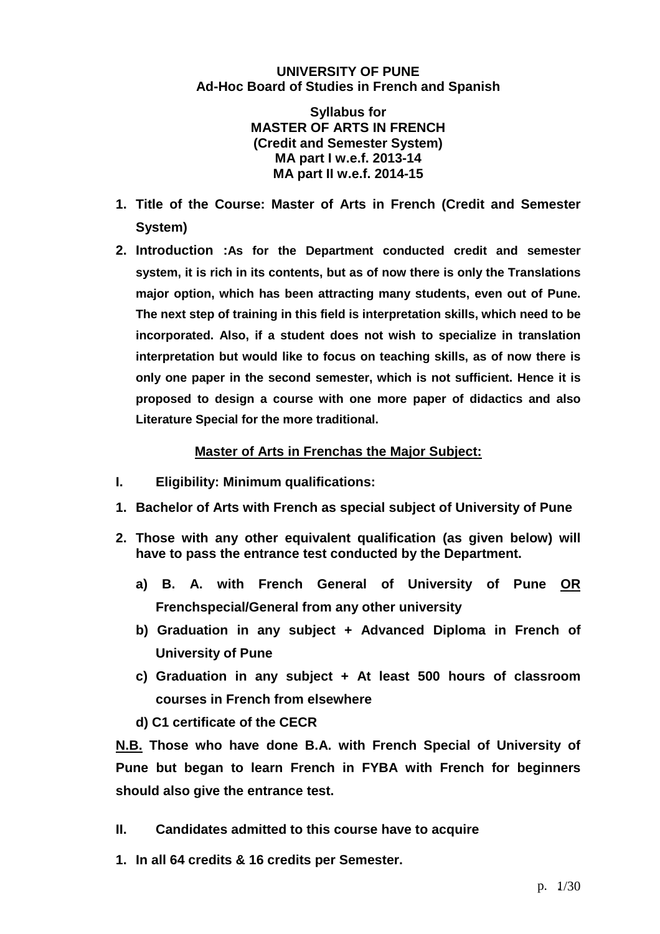#### **UNIVERSITY OF PUNE Ad-Hoc Board of Studies in French and Spanish**

**Syllabus for MASTER OF ARTS IN FRENCH (Credit and Semester System) MA part I w.e.f. 2013-14 MA part II w.e.f. 2014-15** 

- **1. Title of the Course: Master of Arts in French (Credit and Semester System)**
- **2. Introduction :As for the Department conducted credit and semester system, it is rich in its contents, but as of now there is only the Translations major option, which has been attracting many students, even out of Pune. The next step of training in this field is interpretation skills, which need to be incorporated. Also, if a student does not wish to specialize in translation interpretation but would like to focus on teaching skills, as of now there is only one paper in the second semester, which is not sufficient. Hence it is proposed to design a course with one more paper of didactics and also Literature Special for the more traditional.**

### **Master of Arts in Frenchas the Major Subject:**

- **I. Eligibility: Minimum qualifications:**
- **1. Bachelor of Arts with French as special subject of University of Pune**
- **2. Those with any other equivalent qualification (as given below) will have to pass the entrance test conducted by the Department.** 
	- **a) B. A. with French General of University of Pune OR Frenchspecial/General from any other university**
	- **b) Graduation in any subject + Advanced Diploma in French of University of Pune**
	- **c) Graduation in any subject + At least 500 hours of classroom courses in French from elsewhere**
	- **d) C1 certificate of the CECR**

**N.B. Those who have done B.A. with French Special of University of Pune but began to learn French in FYBA with French for beginners should also give the entrance test.** 

- **II. Candidates admitted to this course have to acquire**
- **1. In all 64 credits & 16 credits per Semester.**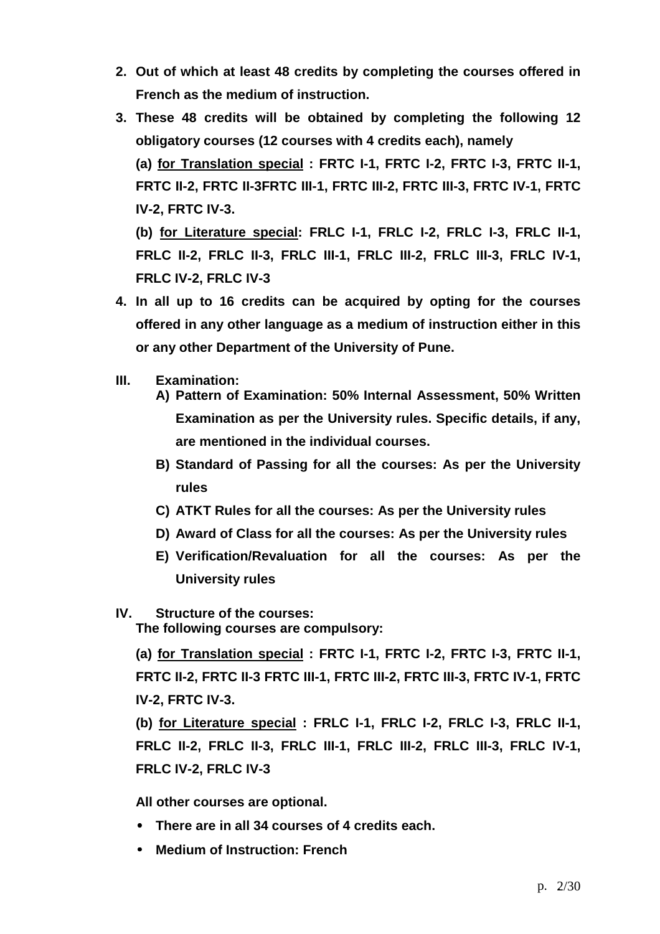- **2. Out of which at least 48 credits by completing the courses offered in French as the medium of instruction.**
- **3. These 48 credits will be obtained by completing the following 12 obligatory courses (12 courses with 4 credits each), namely (a) for Translation special : FRTC I-1, FRTC I-2, FRTC I-3, FRTC II-1, FRTC II-2, FRTC II-3FRTC III-1, FRTC III-2, FRTC III-3, FRTC IV-1, FRTC IV-2, FRTC IV-3.**

**(b) for Literature special: FRLC I-1, FRLC I-2, FRLC I-3, FRLC II-1, FRLC II-2, FRLC II-3, FRLC III-1, FRLC III-2, FRLC III-3, FRLC IV-1, FRLC IV-2, FRLC IV-3**

- **4. In all up to 16 credits can be acquired by opting for the courses offered in any other language as a medium of instruction either in this or any other Department of the University of Pune.**
- **III. Examination:** 
	- **A) Pattern of Examination: 50% Internal Assessment, 50% Written Examination as per the University rules. Specific details, if any, are mentioned in the individual courses.**
	- **B) Standard of Passing for all the courses: As per the University rules**
	- **C) ATKT Rules for all the courses: As per the University rules**
	- **D) Award of Class for all the courses: As per the University rules**
	- **E) Verification/Revaluation for all the courses: As per the University rules**
- **IV. Structure of the courses:**

 **The following courses are compulsory:** 

**(a) for Translation special : FRTC I-1, FRTC I-2, FRTC I-3, FRTC II-1, FRTC II-2, FRTC II-3 FRTC III-1, FRTC III-2, FRTC III-3, FRTC IV-1, FRTC IV-2, FRTC IV-3.** 

**(b) for Literature special : FRLC I-1, FRLC I-2, FRLC I-3, FRLC II-1, FRLC II-2, FRLC II-3, FRLC III-1, FRLC III-2, FRLC III-3, FRLC IV-1, FRLC IV-2, FRLC IV-3**

**All other courses are optional.** 

- • **There are in all 34 courses of 4 credits each.**
- • **Medium of Instruction: French**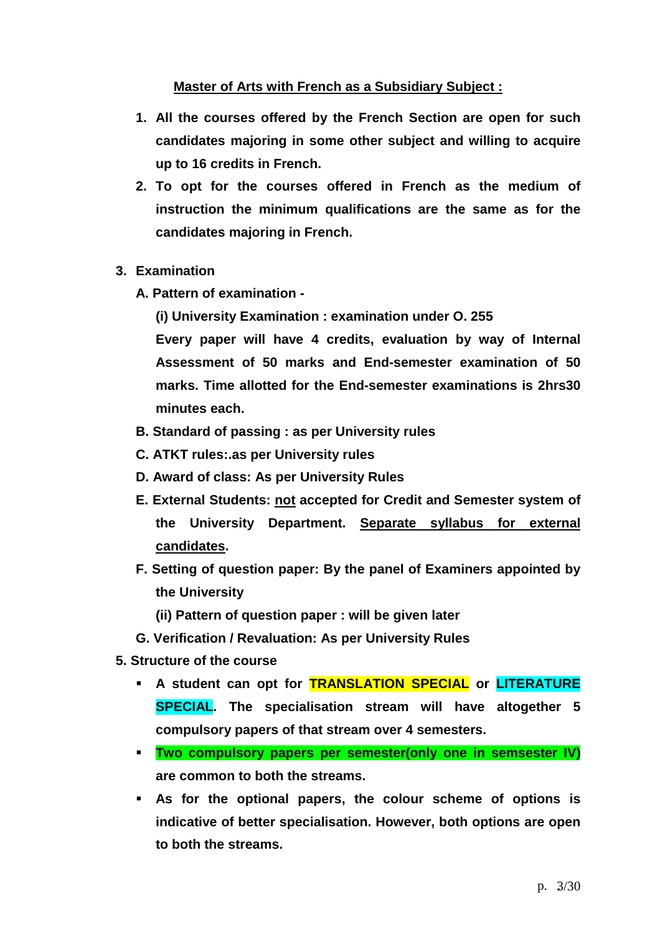## **Master of Arts with French as a Subsidiary Subject :**

- **1. All the courses offered by the French Section are open for such candidates majoring in some other subject and willing to acquire up to 16 credits in French.**
- **2. To opt for the courses offered in French as the medium of instruction the minimum qualifications are the same as for the candidates majoring in French.**
- **3. Examination** 
	- **A. Pattern of examination** 
		- **(i) University Examination : examination under O. 255**

**Every paper will have 4 credits, evaluation by way of Internal Assessment of 50 marks and End-semester examination of 50 marks. Time allotted for the End-semester examinations is 2hrs30 minutes each.** 

- **B. Standard of passing : as per University rules**
- **C. ATKT rules:.as per University rules**
- **D. Award of class: As per University Rules**
- **E. External Students: not accepted for Credit and Semester system of the University Department. Separate syllabus for external candidates.**
- **F. Setting of question paper: By the panel of Examiners appointed by the University** 
	- **(ii) Pattern of question paper : will be given later**
- **G. Verification / Revaluation: As per University Rules**
- **5. Structure of the course** 
	- **A student can opt for TRANSLATION SPECIAL or LITERATURE SPECIAL. The specialisation stream will have altogether 5 compulsory papers of that stream over 4 semesters.**
	- **Two compulsory papers per semester(only one in semsester IV) are common to both the streams.**
	- **As for the optional papers, the colour scheme of options is indicative of better specialisation. However, both options are open to both the streams.**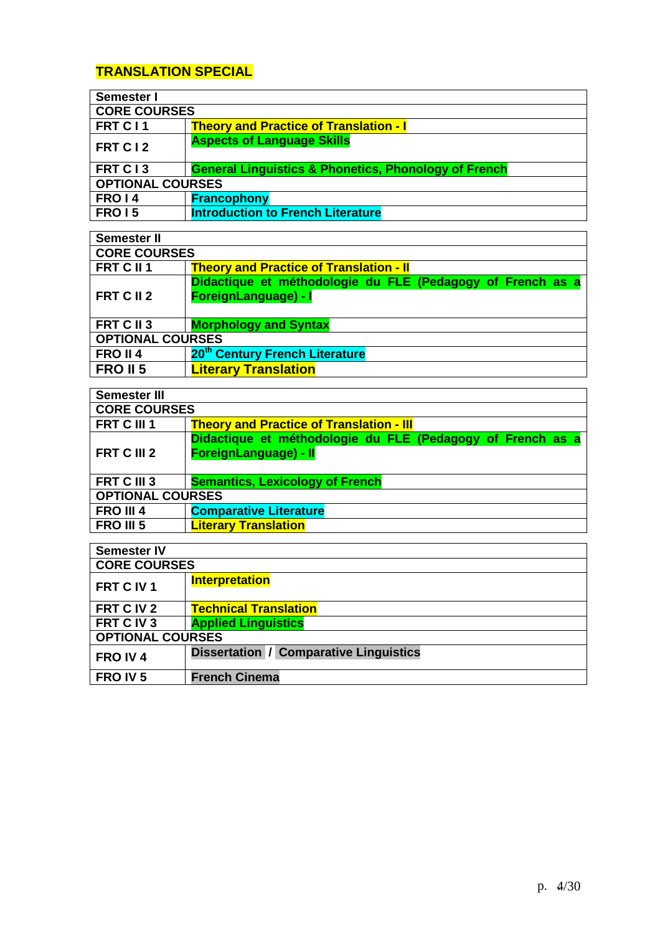# **TRANSLATION SPECIAL**

| Semester I              |                                                                 |  |
|-------------------------|-----------------------------------------------------------------|--|
| <b>CORE COURSES</b>     |                                                                 |  |
| FRT C11                 | <b>Theory and Practice of Translation - I</b>                   |  |
| FRT C12                 | <b>Aspects of Language Skills</b>                               |  |
| FRT C13                 | <b>General Linguistics &amp; Phonetics, Phonology of French</b> |  |
| <b>OPTIONAL COURSES</b> |                                                                 |  |
| FRO <sub>14</sub>       | <b>Francophony</b>                                              |  |
| <b>FRO 15</b>           | <b>Introduction to French Literature</b>                        |  |

| <b>Semester II</b>      |                                                                                    |  |  |
|-------------------------|------------------------------------------------------------------------------------|--|--|
|                         | <b>CORE COURSES</b>                                                                |  |  |
| FRT C II 1              | <b>Theory and Practice of Translation - II</b>                                     |  |  |
| FRT C II 2              | Didactique et méthodologie du FLE (Pedagogy of French as a<br>ForeignLanguage) - I |  |  |
| FRT C II 3              | <b>Morphology and Syntax</b>                                                       |  |  |
| <b>OPTIONAL COURSES</b> |                                                                                    |  |  |
| FRO II <sub>4</sub>     | 20 <sup>th</sup> Century French Literature                                         |  |  |
| <b>FRO II 5</b>         | <b>Literary Translation</b>                                                        |  |  |

| <b>Semester III</b>     |                                                                                     |  |
|-------------------------|-------------------------------------------------------------------------------------|--|
| <b>CORE COURSES</b>     |                                                                                     |  |
| FRT C III 1             | <b>Theory and Practice of Translation - III</b>                                     |  |
| FRT C III 2             | Didactique et méthodologie du FLE (Pedagogy of French as a<br>ForeignLanguage) - II |  |
| FRT C III 3             | <b>Semantics, Lexicology of French</b>                                              |  |
| <b>OPTIONAL COURSES</b> |                                                                                     |  |
| FRO III 4               | <b>Comparative Literature</b>                                                       |  |
| <b>FRO III 5</b>        | <b>Literary Translation</b>                                                         |  |

| <b>Semester IV</b>      |                                               |  |
|-------------------------|-----------------------------------------------|--|
| <b>CORE COURSES</b>     |                                               |  |
| FRT C IV 1              | <b>Interpretation</b>                         |  |
| FRT C IV 2              | <b>Technical Translation</b>                  |  |
| FRT C IV 3              | <b>Applied Linguistics</b>                    |  |
| <b>OPTIONAL COURSES</b> |                                               |  |
| FRO IV4                 | <b>Dissertation / Comparative Linguistics</b> |  |
| FRO IV <sub>5</sub>     | <b>French Cinema</b>                          |  |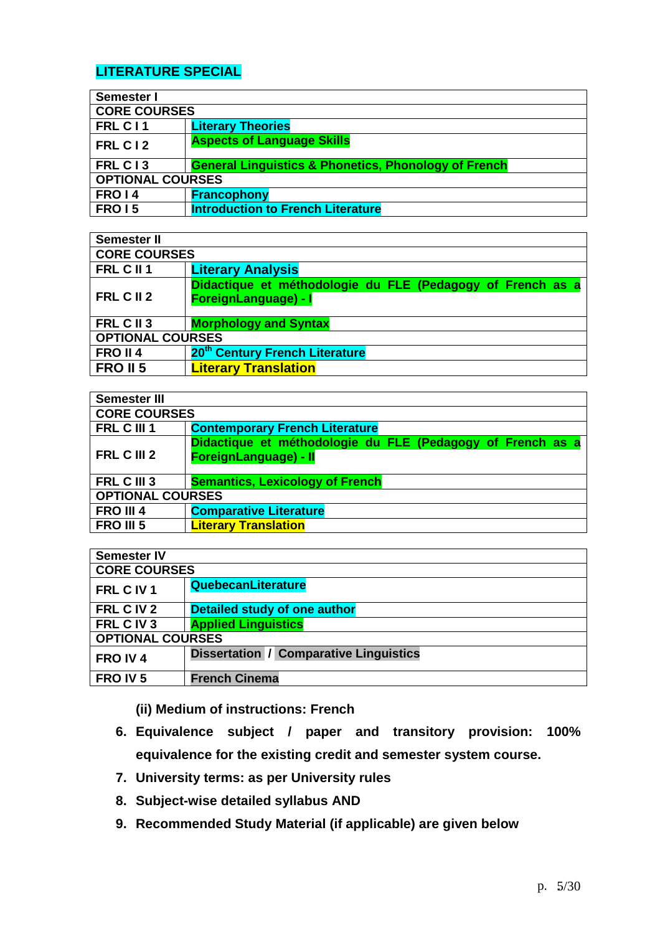# **LITERATURE SPECIAL**

| Semester I              |                                                                 |  |
|-------------------------|-----------------------------------------------------------------|--|
| <b>CORE COURSES</b>     |                                                                 |  |
| FRL C11                 | <b>Literary Theories</b>                                        |  |
| FRL C12                 | <b>Aspects of Language Skills</b>                               |  |
| FRL C13                 | <b>General Linguistics &amp; Phonetics, Phonology of French</b> |  |
| <b>OPTIONAL COURSES</b> |                                                                 |  |
| FRO <sub>14</sub>       | <b>Francophony</b>                                              |  |
| <b>FRO 15</b>           | <b>Introduction to French Literature</b>                        |  |

| Semester II             |                                                                                    |  |
|-------------------------|------------------------------------------------------------------------------------|--|
| <b>CORE COURSES</b>     |                                                                                    |  |
| FRL C II 1              | <b>Literary Analysis</b>                                                           |  |
| FRL C II 2              | Didactique et méthodologie du FLE (Pedagogy of French as a<br>ForeignLanguage) - I |  |
| FRL C II 3              | <b>Morphology and Syntax</b>                                                       |  |
| <b>OPTIONAL COURSES</b> |                                                                                    |  |
| FRO II 4                | 20 <sup>th</sup> Century French Literature                                         |  |
| <b>FRO II 5</b>         | <b>Literary Translation</b>                                                        |  |

| <b>Semester III</b>     |                                                                                     |  |
|-------------------------|-------------------------------------------------------------------------------------|--|
| <b>CORE COURSES</b>     |                                                                                     |  |
| FRL C III 1             | <b>Contemporary French Literature</b>                                               |  |
| FRL C III 2             | Didactique et méthodologie du FLE (Pedagogy of French as a<br>ForeignLanguage) - II |  |
| FRL C III 3             | <b>Semantics, Lexicology of French</b>                                              |  |
| <b>OPTIONAL COURSES</b> |                                                                                     |  |
| FRO III 4               | <b>Comparative Literature</b>                                                       |  |
| <b>FRO III 5</b>        | <b>Literary Translation</b>                                                         |  |

| <b>Semester IV</b>      |                                               |  |
|-------------------------|-----------------------------------------------|--|
| <b>CORE COURSES</b>     |                                               |  |
| FRL C IV 1              | QuebecanLiterature                            |  |
| FRL C IV 2              | <b>Detailed study of one author</b>           |  |
| FRL C IV 3              | <b>Applied Linguistics</b>                    |  |
| <b>OPTIONAL COURSES</b> |                                               |  |
| FRO IV4                 | <b>Dissertation / Comparative Linguistics</b> |  |
| FRO IV <sub>5</sub>     | <b>French Cinema</b>                          |  |

**(ii) Medium of instructions: French** 

- **6. Equivalence subject / paper and transitory provision: 100% equivalence for the existing credit and semester system course.**
- **7. University terms: as per University rules**
- **8. Subject-wise detailed syllabus AND**
- **9. Recommended Study Material (if applicable) are given below**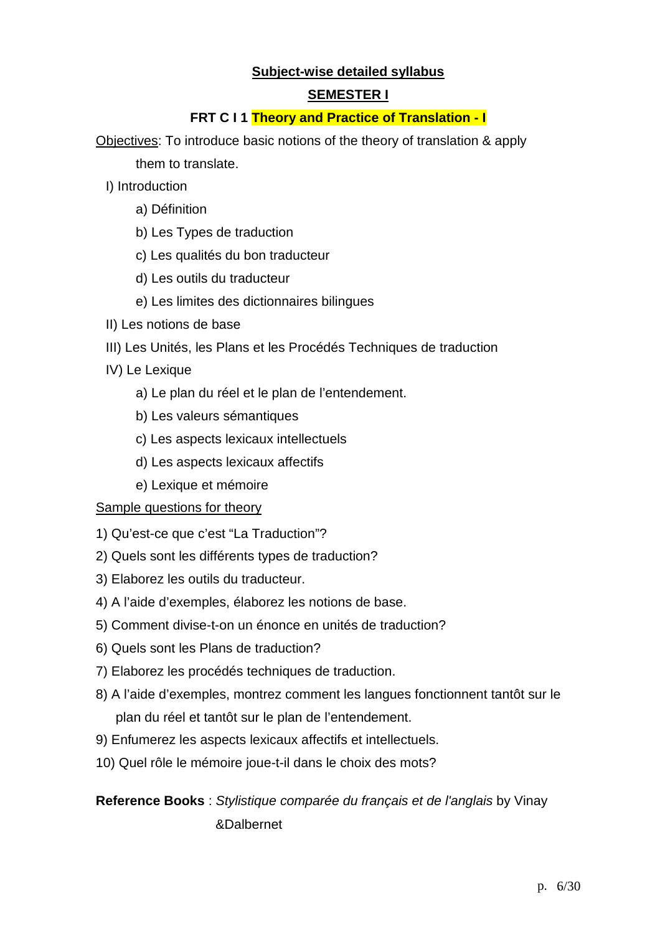## **Subject-wise detailed syllabus**

### **SEMESTER I**

### **FRT C I 1 Theory and Practice of Translation - I**

Objectives: To introduce basic notions of the theory of translation & apply them to translate.

- I) Introduction
	- a) Définition
	- b) Les Types de traduction
	- c) Les qualités du bon traducteur
	- d) Les outils du traducteur
	- e) Les limites des dictionnaires bilingues
- II) Les notions de base
- III) Les Unités, les Plans et les Procédés Techniques de traduction
- IV) Le Lexique
	- a) Le plan du réel et le plan de l'entendement.
	- b) Les valeurs sémantiques
	- c) Les aspects lexicaux intellectuels
	- d) Les aspects lexicaux affectifs
	- e) Lexique et mémoire

#### Sample questions for theory

- 1) Qu'est-ce que c'est "La Traduction"?
- 2) Quels sont les différents types de traduction?
- 3) Elaborez les outils du traducteur.
- 4) A l'aide d'exemples, élaborez les notions de base.
- 5) Comment divise-t-on un énonce en unités de traduction?
- 6) Quels sont les Plans de traduction?
- 7) Elaborez les procédés techniques de traduction.
- 8) A l'aide d'exemples, montrez comment les langues fonctionnent tantôt sur le plan du réel et tantôt sur le plan de l'entendement.
- 9) Enfumerez les aspects lexicaux affectifs et intellectuels.
- 10) Quel rôle le mémoire joue-t-il dans le choix des mots?

**Reference Books** : Stylistique comparée du français et de l'anglais by Vinay &Dalbernet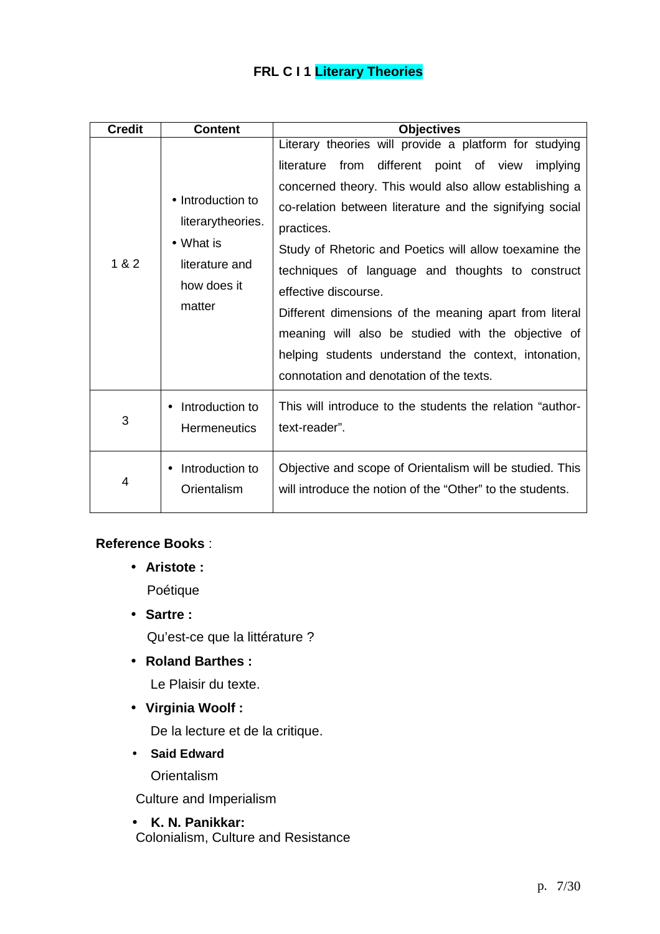# **FRL C I 1 Literary Theories**

| <b>Credit</b> | <b>Content</b>                                                                                 | <b>Objectives</b>                                                                                                                                                                                                                                                                                                                                                                                                                                                                                                                                                                                                 |
|---------------|------------------------------------------------------------------------------------------------|-------------------------------------------------------------------------------------------------------------------------------------------------------------------------------------------------------------------------------------------------------------------------------------------------------------------------------------------------------------------------------------------------------------------------------------------------------------------------------------------------------------------------------------------------------------------------------------------------------------------|
| 1 & 2         | • Introduction to<br>literarytheories.<br>• What is<br>literature and<br>how does it<br>matter | Literary theories will provide a platform for studying<br>different point of view<br>from<br>literature<br>implying<br>concerned theory. This would also allow establishing a<br>co-relation between literature and the signifying social<br>practices.<br>Study of Rhetoric and Poetics will allow toexamine the<br>techniques of language and thoughts to construct<br>effective discourse.<br>Different dimensions of the meaning apart from literal<br>meaning will also be studied with the objective of<br>helping students understand the context, intonation,<br>connotation and denotation of the texts. |
| 3             | Introduction to<br><b>Hermeneutics</b>                                                         | This will introduce to the students the relation "author-<br>text-reader".                                                                                                                                                                                                                                                                                                                                                                                                                                                                                                                                        |
| 4             | Introduction to<br>Orientalism                                                                 | Objective and scope of Orientalism will be studied. This<br>will introduce the notion of the "Other" to the students.                                                                                                                                                                                                                                                                                                                                                                                                                                                                                             |

### **Reference Books** :

• **Aristote :** 

Poétique

• **Sartre :** 

Qu'est-ce que la littérature ?

• **Roland Barthes :** 

Le Plaisir du texte.

• **Virginia Woolf :** 

De la lecture et de la critique.

• **Said Edward** 

**Orientalism** 

Culture and Imperialism

• **K. N. Panikkar:**  Colonialism, Culture and Resistance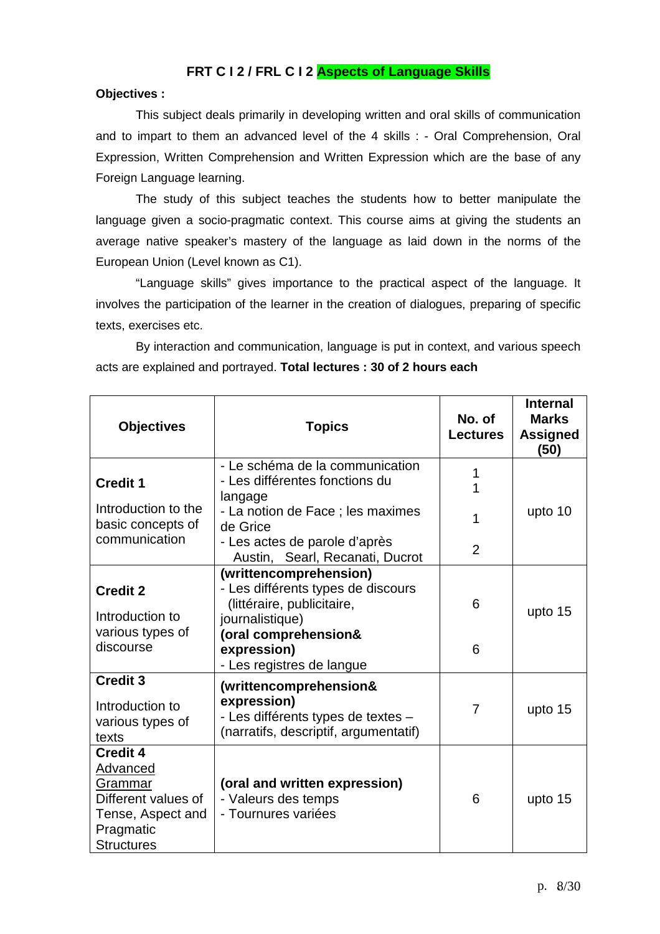### **FRT C I 2 / FRL C I 2 Aspects of Language Skills**

#### **Objectives :**

 This subject deals primarily in developing written and oral skills of communication and to impart to them an advanced level of the 4 skills : - Oral Comprehension, Oral Expression, Written Comprehension and Written Expression which are the base of any Foreign Language learning.

 The study of this subject teaches the students how to better manipulate the language given a socio-pragmatic context. This course aims at giving the students an average native speaker's mastery of the language as laid down in the norms of the European Union (Level known as C1).

 "Language skills" gives importance to the practical aspect of the language. It involves the participation of the learner in the creation of dialogues, preparing of specific texts, exercises etc.

 By interaction and communication, language is put in context, and various speech acts are explained and portrayed. **Total lectures : 30 of 2 hours each** 

| <b>Objectives</b>                                                                                                    | <b>Topics</b>                                                                                                        | No. of<br><b>Lectures</b> | <b>Internal</b><br><b>Marks</b><br><b>Assigned</b><br>(50) |
|----------------------------------------------------------------------------------------------------------------------|----------------------------------------------------------------------------------------------------------------------|---------------------------|------------------------------------------------------------|
| <b>Credit 1</b>                                                                                                      | - Le schéma de la communication<br>- Les différentes fonctions du<br>langage                                         | 1<br>1                    |                                                            |
| Introduction to the<br>basic concepts of                                                                             | - La notion de Face ; les maximes<br>de Grice                                                                        | 1                         | upto 10                                                    |
| communication                                                                                                        | - Les actes de parole d'après<br>Austin, Searl, Recanati, Ducrot                                                     | $\overline{2}$            |                                                            |
| <b>Credit 2</b><br>Introduction to                                                                                   | (writtencomprehension)<br>- Les différents types de discours<br>(littéraire, publicitaire,<br>journalistique)        | 6                         | upto 15                                                    |
| various types of<br>discourse                                                                                        | (oral comprehension&<br>expression)<br>- Les registres de langue                                                     | 6                         |                                                            |
| <b>Credit 3</b><br>Introduction to<br>various types of<br>texts                                                      | (writtencomprehension&<br>expression)<br>- Les différents types de textes -<br>(narratifs, descriptif, argumentatif) | 7                         | upto 15                                                    |
| <b>Credit 4</b><br>Advanced<br>Grammar<br>Different values of<br>Tense, Aspect and<br>Pragmatic<br><b>Structures</b> | (oral and written expression)<br>- Valeurs des temps<br>- Tournures variées                                          | 6                         | upto 15                                                    |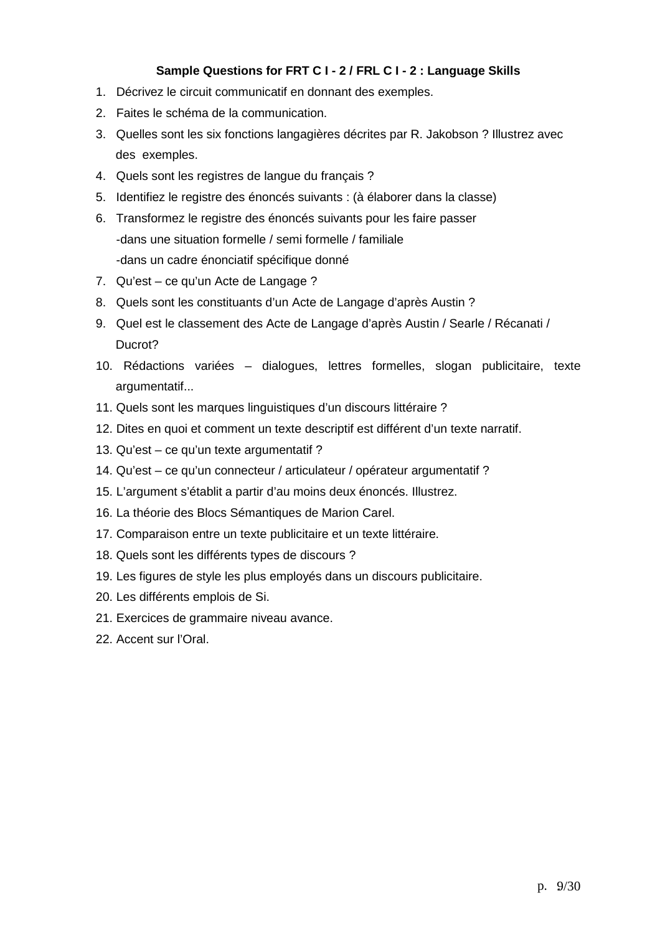### **Sample Questions for FRT C I - 2 / FRL C I - 2 : Language Skills**

- 1. Décrivez le circuit communicatif en donnant des exemples.
- 2. Faites le schéma de la communication.
- 3. Quelles sont les six fonctions langagières décrites par R. Jakobson ? Illustrez avec des exemples.
- 4. Quels sont les registres de langue du français ?
- 5. Identifiez le registre des énoncés suivants : (à élaborer dans la classe)
- 6. Transformez le registre des énoncés suivants pour les faire passer -dans une situation formelle / semi formelle / familiale -dans un cadre énonciatif spécifique donné
- 7. Qu'est ce qu'un Acte de Langage ?
- 8. Quels sont les constituants d'un Acte de Langage d'après Austin ?
- 9. Quel est le classement des Acte de Langage d'après Austin / Searle / Récanati / Ducrot?
- 10. Rédactions variées dialogues, lettres formelles, slogan publicitaire, texte argumentatif...
- 11. Quels sont les marques linguistiques d'un discours littéraire ?
- 12. Dites en quoi et comment un texte descriptif est différent d'un texte narratif.
- 13. Qu'est ce qu'un texte argumentatif ?
- 14. Qu'est ce qu'un connecteur / articulateur / opérateur argumentatif ?
- 15. L'argument s'établit a partir d'au moins deux énoncés. Illustrez.
- 16. La théorie des Blocs Sémantiques de Marion Carel.
- 17. Comparaison entre un texte publicitaire et un texte littéraire.
- 18. Quels sont les différents types de discours ?
- 19. Les figures de style les plus employés dans un discours publicitaire.
- 20. Les différents emplois de Si.
- 21. Exercices de grammaire niveau avance.
- 22. Accent sur l'Oral.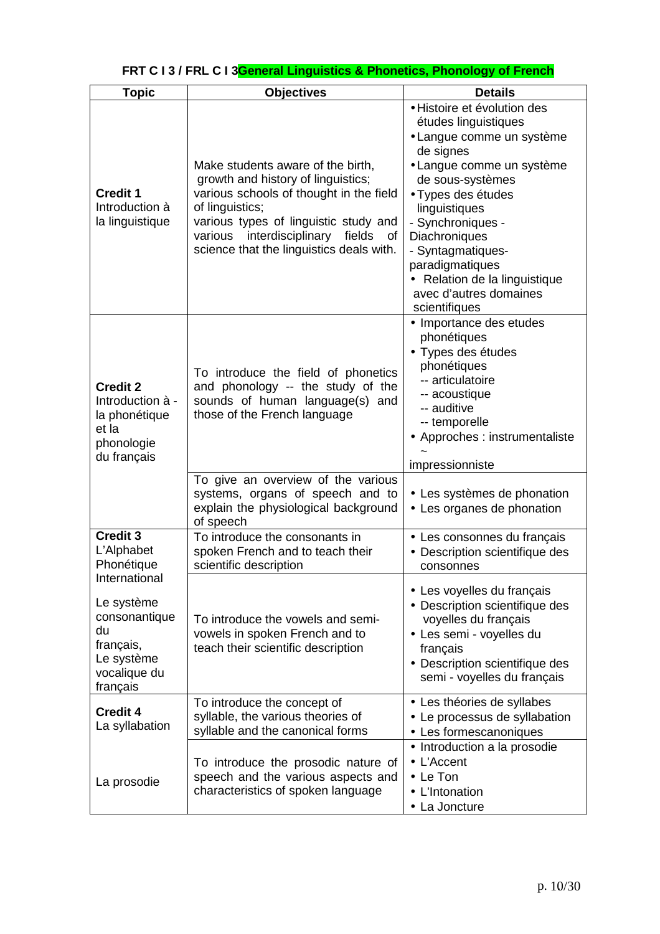| <b>Topic</b>                      | <b>Objectives</b><br><b>Details</b>                                                   |                                      |
|-----------------------------------|---------------------------------------------------------------------------------------|--------------------------------------|
|                                   |                                                                                       | · Histoire et évolution des          |
|                                   |                                                                                       | études linguistiques                 |
|                                   |                                                                                       | • Langue comme un système            |
|                                   |                                                                                       | de signes                            |
|                                   | Make students aware of the birth,                                                     | • Langue comme un système            |
|                                   | growth and history of linguistics;                                                    | de sous-systèmes                     |
| <b>Credit 1</b>                   | various schools of thought in the field                                               | • Types des études                   |
| Introduction à                    | of linguistics;                                                                       | linguistiques                        |
| la linguistique                   | various types of linguistic study and                                                 | - Synchroniques -                    |
|                                   | interdisciplinary fields<br>various<br>0f<br>science that the linguistics deals with. | Diachroniques                        |
|                                   |                                                                                       | - Syntagmatiques-<br>paradigmatiques |
|                                   |                                                                                       | • Relation de la linguistique        |
|                                   |                                                                                       | avec d'autres domaines               |
|                                   |                                                                                       | scientifiques                        |
|                                   |                                                                                       | • Importance des etudes              |
|                                   |                                                                                       | phonétiques                          |
|                                   |                                                                                       | • Types des études                   |
|                                   | To introduce the field of phonetics                                                   | phonétiques                          |
| <b>Credit 2</b>                   | and phonology -- the study of the                                                     | -- articulatoire                     |
| Introduction à -                  | sounds of human language(s) and                                                       | -- acoustique<br>-- auditive         |
| la phonétique                     | those of the French language                                                          | -- temporelle                        |
| et la                             |                                                                                       | • Approches : instrumentaliste       |
| phonologie                        |                                                                                       |                                      |
| du français                       |                                                                                       | impressionniste                      |
|                                   | To give an overview of the various                                                    |                                      |
|                                   | systems, organs of speech and to                                                      | • Les systèmes de phonation          |
|                                   | explain the physiological background<br>of speech                                     | • Les organes de phonation           |
| Credit 3                          | To introduce the consonants in                                                        | • Les consonnes du français          |
| L'Alphabet                        | spoken French and to teach their                                                      | • Description scientifique des       |
| Phonétique                        | scientific description                                                                | consonnes                            |
| International                     |                                                                                       | • Les voyelles du français           |
| Le système                        |                                                                                       | • Description scientifique des       |
| consonantique                     | To introduce the vowels and semi-                                                     | voyelles du français                 |
| du                                | vowels in spoken French and to                                                        | · Les semi - voyelles du             |
| français,<br>Le système           | teach their scientific description                                                    | français                             |
|                                   |                                                                                       | • Description scientifique des       |
| vocalique du<br>français          |                                                                                       | semi - voyelles du français          |
|                                   | To introduce the concept of                                                           | • Les théories de syllabes           |
| <b>Credit 4</b><br>La syllabation | syllable, the various theories of                                                     | • Le processus de syllabation        |
|                                   | syllable and the canonical forms                                                      | • Les formescanoniques               |
|                                   |                                                                                       | • Introduction a la prosodie         |
|                                   | To introduce the prosodic nature of                                                   | • L'Accent                           |
| La prosodie                       | speech and the various aspects and                                                    | $\bullet$ Le Ton                     |
|                                   | characteristics of spoken language                                                    | • L'Intonation                       |
|                                   |                                                                                       | • La Joncture                        |

# **FRT C I 3 / FRL C I 3General Linguistics & Phonetics, Phonology of French**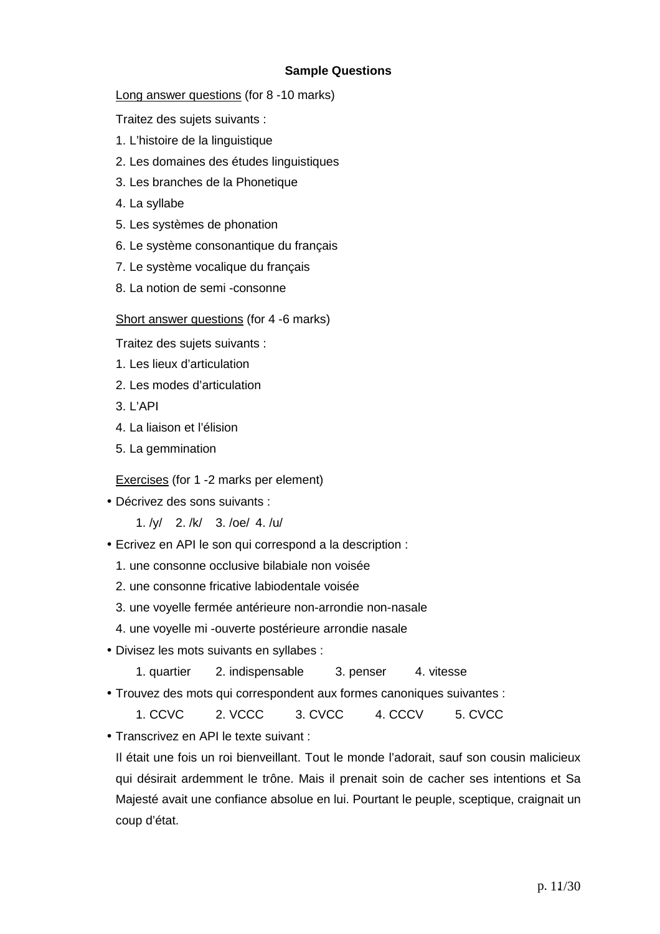### **Sample Questions**

Long answer questions (for 8 -10 marks)

Traitez des sujets suivants :

- 1. L'histoire de la linguistique
- 2. Les domaines des études linguistiques
- 3. Les branches de la Phonetique
- 4. La syllabe
- 5. Les systèmes de phonation
- 6. Le système consonantique du français
- 7. Le système vocalique du français
- 8. La notion de semi -consonne

#### Short answer questions (for 4 -6 marks)

Traitez des sujets suivants :

- 1. Les lieux d'articulation
- 2. Les modes d'articulation
- 3. L'API
- 4. La liaison et l'élision
- 5. La gemmination

Exercises (for 1 -2 marks per element)

- Décrivez des sons suivants :
	- 1. /y/ 2. /k/ 3. /oe/ 4. /u/
- Ecrivez en API le son qui correspond a la description :
	- 1. une consonne occlusive bilabiale non voisée
	- 2. une consonne fricative labiodentale voisée
	- 3. une voyelle fermée antérieure non-arrondie non-nasale
	- 4. une voyelle mi -ouverte postérieure arrondie nasale
- Divisez les mots suivants en syllabes :
	- 1. quartier 2. indispensable 3. penser 4. vitesse
- Trouvez des mots qui correspondent aux formes canoniques suivantes :
	- 1. CCVC 2. VCCC 3. CVCC 4. CCCV 5. CVCC

• Transcrivez en API le texte suivant :

Il était une fois un roi bienveillant. Tout le monde l'adorait, sauf son cousin malicieux qui désirait ardemment le trône. Mais il prenait soin de cacher ses intentions et Sa Majesté avait une confiance absolue en lui. Pourtant le peuple, sceptique, craignait un coup d'état.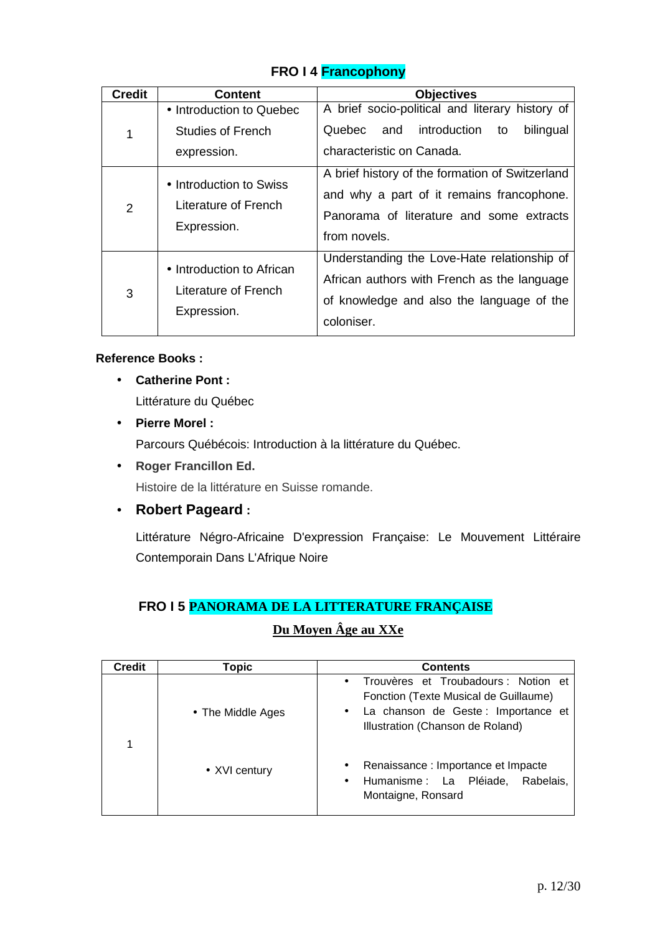|  | FRO I 4 Francophony |
|--|---------------------|
|--|---------------------|

| <b>Credit</b> | <b>Content</b>                                                   | <b>Objectives</b>                                                                                                                                        |  |  |  |  |  |
|---------------|------------------------------------------------------------------|----------------------------------------------------------------------------------------------------------------------------------------------------------|--|--|--|--|--|
| 1             | • Introduction to Quebec<br>Studies of French<br>expression.     | A brief socio-political and literary history of<br>Quebec and<br>introduction<br>bilingual<br>to<br>characteristic on Canada.                            |  |  |  |  |  |
| 2             | • Introduction to Swiss<br>Literature of French<br>Expression.   | A brief history of the formation of Switzerland<br>and why a part of it remains francophone.<br>Panorama of literature and some extracts<br>from novels. |  |  |  |  |  |
| 3             | • Introduction to African<br>Literature of French<br>Expression. | Understanding the Love-Hate relationship of<br>African authors with French as the language<br>of knowledge and also the language of the<br>coloniser.    |  |  |  |  |  |

#### **Reference Books :**

- **Catherine Pont :**  Littérature du Québec
- **Pierre Morel :**

Parcours Québécois: Introduction à la littérature du Québec.

• **Roger Francillon Ed.**

Histoire de la littérature en Suisse romande.

• **Robert Pageard :**

 Littérature Négro-Africaine D'expression Française: Le Mouvement Littéraire Contemporain Dans L'Afrique Noire

# **FRO I 5 PANORAMA DE LA LITTERATURE FRANÇAISE**

# **Du Moyen Âge au XXe**

| <b>Credit</b> | Topic             | <b>Contents</b>                                                                                                             |
|---------------|-------------------|-----------------------------------------------------------------------------------------------------------------------------|
|               |                   | Trouvères et Troubadours : Notion et<br>$\bullet$<br>Fonction (Texte Musical de Guillaume)                                  |
| 1             | • The Middle Ages | La chanson de Geste : Importance et<br>$\bullet$<br>Illustration (Chanson de Roland)                                        |
|               | • XVI century     | Renaissance : Importance et Impacte<br>$\bullet$<br>Humanisme : La Pléiade,<br>Rabelais.<br>$\bullet$<br>Montaigne, Ronsard |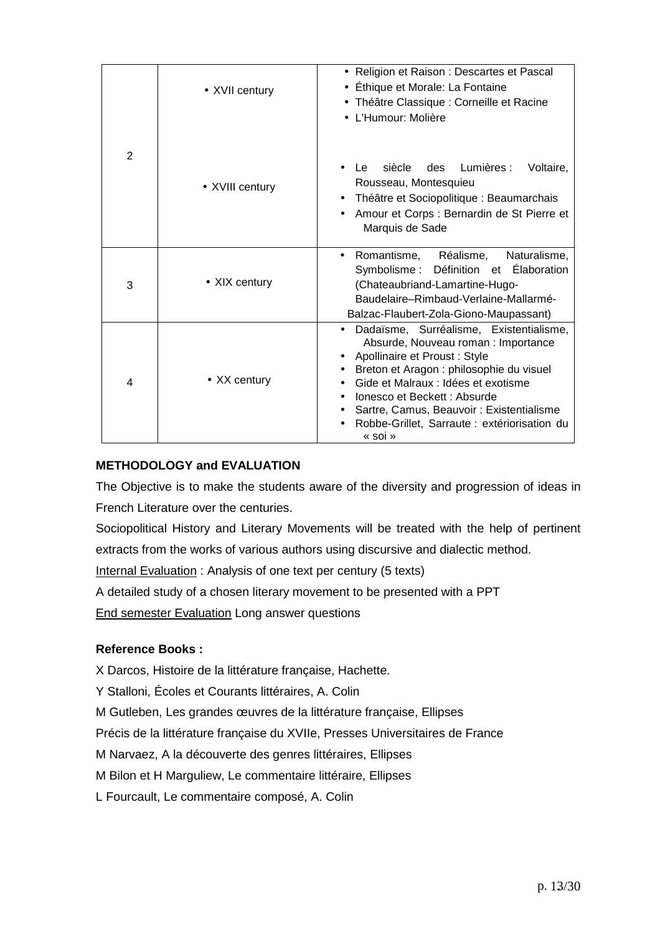|                | • XVII century  | • Religion et Raison : Descartes et Pascal<br>• Éthique et Morale: La Fontaine<br>• Théâtre Classique : Corneille et Racine<br>• L'Humour: Molière                                                                                                                                                                                        |  |  |  |  |
|----------------|-----------------|-------------------------------------------------------------------------------------------------------------------------------------------------------------------------------------------------------------------------------------------------------------------------------------------------------------------------------------------|--|--|--|--|
| $\overline{2}$ | • XVIII century | Lumières :<br>siècle<br>des<br>Voltaire,<br>Le<br>Rousseau, Montesquieu<br>Théâtre et Sociopolitique : Beaumarchais<br>Amour et Corps : Bernardin de St Pierre et<br>Marquis de Sade                                                                                                                                                      |  |  |  |  |
| 3              | • XIX century   | Naturalisme,<br>• Romantisme, Réalisme,<br>Symbolisme: Définition et Élaboration<br>(Chateaubriand-Lamartine-Hugo-<br>Baudelaire-Rimbaud-Verlaine-Mallarmé-<br>Balzac-Flaubert-Zola-Giono-Maupassant)                                                                                                                                     |  |  |  |  |
| 4              | • XX century    | Dadaïsme, Surréalisme, Existentialisme,<br>Absurde, Nouveau roman : Importance<br>Apollinaire et Proust : Style<br>Breton et Aragon : philosophie du visuel<br>Gide et Malraux : Idées et exotisme<br>Ionesco et Beckett : Absurde<br>Sartre, Camus, Beauvoir: Existentialisme<br>Robbe-Grillet, Sarraute : extériorisation du<br>« soi » |  |  |  |  |

### **METHODOLOGY and EVALUATION**

The Objective is to make the students aware of the diversity and progression of ideas in French Literature over the centuries.

Sociopolitical History and Literary Movements will be treated with the help of pertinent extracts from the works of various authors using discursive and dialectic method.

Internal Evaluation : Analysis of one text per century (5 texts)

A detailed study of a chosen literary movement to be presented with a PPT

End semester Evaluation Long answer questions

### **Reference Books :**

X Darcos, Histoire de la littérature française, Hachette.

- Y Stalloni, Écoles et Courants littéraires, A. Colin
- M Gutleben, Les grandes œuvres de la littérature française, Ellipses

Précis de la littérature française du XVIIe, Presses Universitaires de France

M Narvaez, A la découverte des genres littéraires, Ellipses

M Bilon et H Marguliew, Le commentaire littéraire, Ellipses

L Fourcault, Le commentaire composé, A. Colin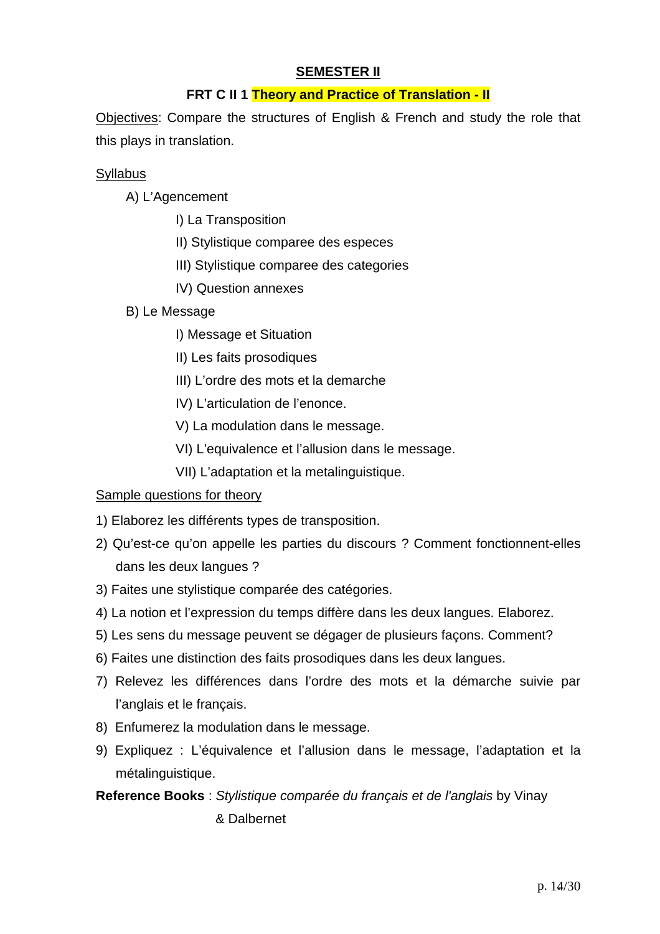### **SEMESTER II**

## **FRT C II 1 Theory and Practice of Translation - II**

Objectives: Compare the structures of English & French and study the role that this plays in translation.

### **Syllabus**

A) L'Agencement

- I) La Transposition
- II) Stylistique comparee des especes
- III) Stylistique comparee des categories
- IV) Question annexes

### B) Le Message

- I) Message et Situation
- II) Les faits prosodiques
- III) L'ordre des mots et la demarche
- IV) L'articulation de l'enonce.
- V) La modulation dans le message.
- VI) L'equivalence et l'allusion dans le message.
- VII) L'adaptation et la metalinguistique.

### Sample questions for theory

- 1) Elaborez les différents types de transposition.
- 2) Qu'est-ce qu'on appelle les parties du discours ? Comment fonctionnent-elles dans les deux langues ?
- 3) Faites une stylistique comparée des catégories.
- 4) La notion et l'expression du temps diffère dans les deux langues. Elaborez.
- 5) Les sens du message peuvent se dégager de plusieurs façons. Comment?
- 6) Faites une distinction des faits prosodiques dans les deux langues.
- 7) Relevez les différences dans l'ordre des mots et la démarche suivie par l'anglais et le français.
- 8) Enfumerez la modulation dans le message.
- 9) Expliquez : L'équivalence et l'allusion dans le message, l'adaptation et la métalinguistique.

# **Reference Books** : Stylistique comparée du français et de l'anglais by Vinay & Dalbernet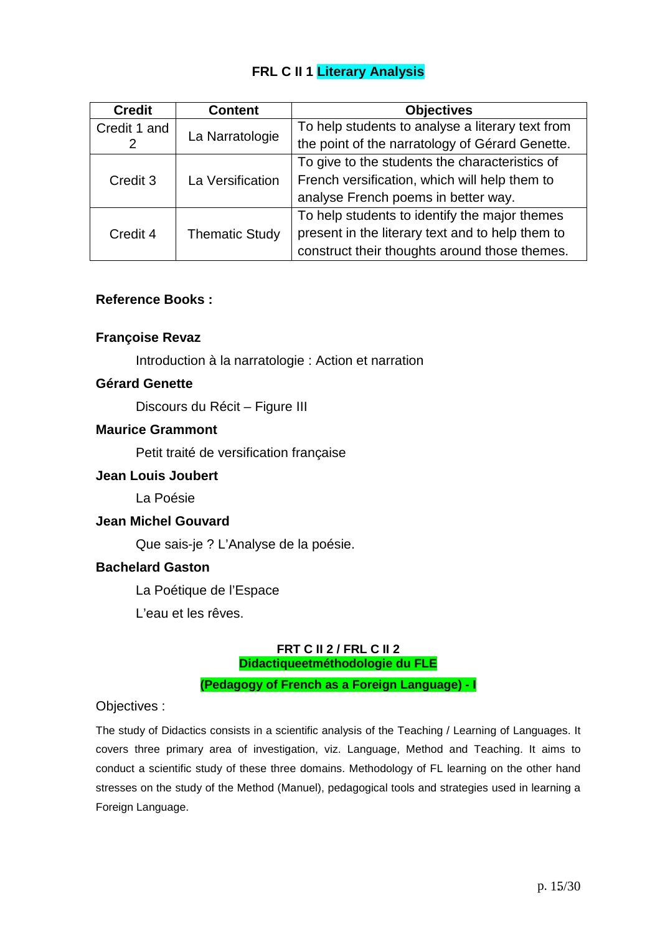# **FRL C II 1 Literary Analysis**

| <b>Credit</b> | <b>Objectives</b><br><b>Content</b> |                                                  |  |
|---------------|-------------------------------------|--------------------------------------------------|--|
| Credit 1 and  |                                     | To help students to analyse a literary text from |  |
|               | La Narratologie                     | the point of the narratology of Gérard Genette.  |  |
|               |                                     | To give to the students the characteristics of   |  |
| Credit 3      | La Versification                    | French versification, which will help them to    |  |
|               |                                     | analyse French poems in better way.              |  |
|               |                                     | To help students to identify the major themes    |  |
| Credit 4      | <b>Thematic Study</b>               | present in the literary text and to help them to |  |
|               |                                     | construct their thoughts around those themes.    |  |

#### **Reference Books :**

### **Françoise Revaz**

Introduction à la narratologie : Action et narration

#### **Gérard Genette**

Discours du Récit – Figure III

#### **Maurice Grammont**

Petit traité de versification française

#### **Jean Louis Joubert**

La Poésie

#### **Jean Michel Gouvard**

Que sais-je ? L'Analyse de la poésie.

#### **Bachelard Gaston**

La Poétique de l'Espace

L'eau et les rêves.

#### **FRT C II 2 / FRL C II 2 Didactiqueetméthodologie du FLE**

**(Pedagogy of French as a Foreign Language) - I**

Objectives :

The study of Didactics consists in a scientific analysis of the Teaching / Learning of Languages. It covers three primary area of investigation, viz. Language, Method and Teaching. It aims to conduct a scientific study of these three domains. Methodology of FL learning on the other hand stresses on the study of the Method (Manuel), pedagogical tools and strategies used in learning a Foreign Language.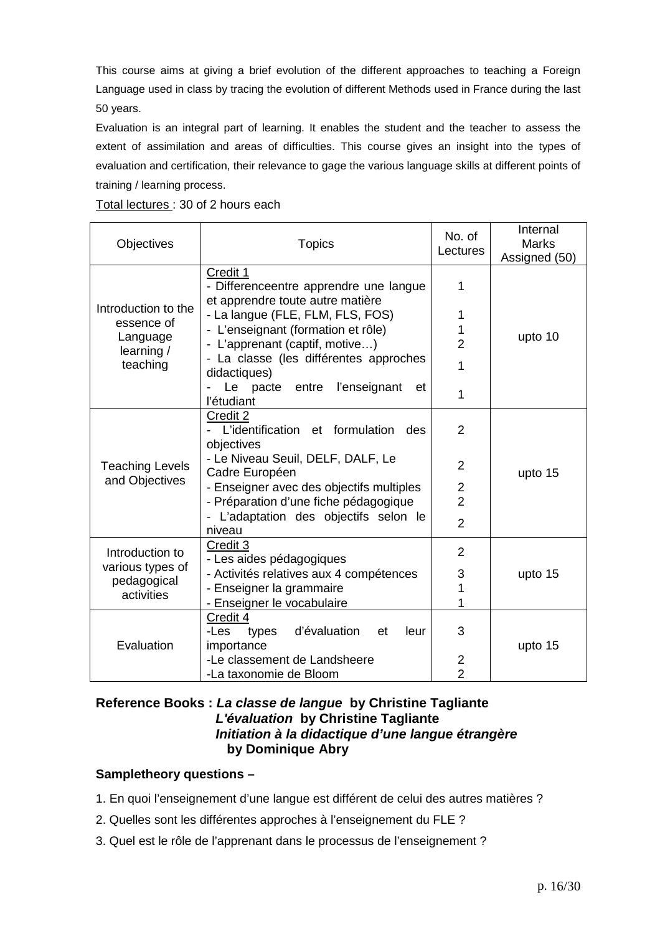This course aims at giving a brief evolution of the different approaches to teaching a Foreign Language used in class by tracing the evolution of different Methods used in France during the last 50 years.

Evaluation is an integral part of learning. It enables the student and the teacher to assess the extent of assimilation and areas of difficulties. This course gives an insight into the types of evaluation and certification, their relevance to gage the various language skills at different points of training / learning process.

Total lectures : 30 of 2 hours each

| Objectives<br><b>Topics</b>     |                                                                                        | No. of<br>Lectures | Internal<br><b>Marks</b><br>Assigned (50) |  |
|---------------------------------|----------------------------------------------------------------------------------------|--------------------|-------------------------------------------|--|
|                                 | Credit 1<br>- Differenceentre apprendre une langue<br>et apprendre toute autre matière | 1                  |                                           |  |
| Introduction to the             | - La langue (FLE, FLM, FLS, FOS)                                                       | 1                  |                                           |  |
| essence of                      | - L'enseignant (formation et rôle)                                                     |                    |                                           |  |
| Language<br>learning /          | - L'apprenant (captif, motive)                                                         | $\overline{2}$     | upto 10                                   |  |
| teaching                        | - La classe (les différentes approches<br>didactiques)                                 | 1                  |                                           |  |
|                                 | Le pacte<br>entre<br>l'enseignant<br>et<br>l'étudiant                                  | 1                  |                                           |  |
|                                 | Credit 2<br>- L'identification et formulation<br>des                                   | $\overline{2}$     |                                           |  |
| <b>Teaching Levels</b>          | objectives<br>- Le Niveau Seuil, DELF, DALF, Le<br>Cadre Européen                      | $\overline{2}$     | upto 15                                   |  |
| and Objectives                  | - Enseigner avec des objectifs multiples                                               | $\overline{2}$     |                                           |  |
|                                 | - Préparation d'une fiche pédagogique                                                  | $\overline{2}$     |                                           |  |
|                                 | - L'adaptation des objectifs selon le<br>niveau                                        | $\overline{2}$     |                                           |  |
| Introduction to                 | Credit 3<br>- Les aides pédagogiques                                                   | $\overline{2}$     |                                           |  |
| various types of<br>pedagogical | - Activités relatives aux 4 compétences                                                | 3                  | upto 15                                   |  |
| activities                      | - Enseigner la grammaire                                                               | 1                  |                                           |  |
|                                 | - Enseigner le vocabulaire                                                             | 1                  |                                           |  |
| Evaluation                      | Credit 4<br>d'évaluation<br>leur<br>-Les<br>types<br>et<br>importance                  | 3                  | upto 15                                   |  |
|                                 | -Le classement de Landsheere                                                           | $\overline{2}$     |                                           |  |
|                                 | -La taxonomie de Bloom                                                                 | $\overline{2}$     |                                           |  |

#### **Reference Books : La classe de langue by Christine Tagliante L'évaluation by Christine Tagliante Initiation à la didactique d'une langue étrangère by Dominique Abry**

### **Sampletheory questions –**

- 1. En quoi l'enseignement d'une langue est différent de celui des autres matières ?
- 2. Quelles sont les différentes approches à l'enseignement du FLE ?
- 3. Quel est le rôle de l'apprenant dans le processus de l'enseignement ?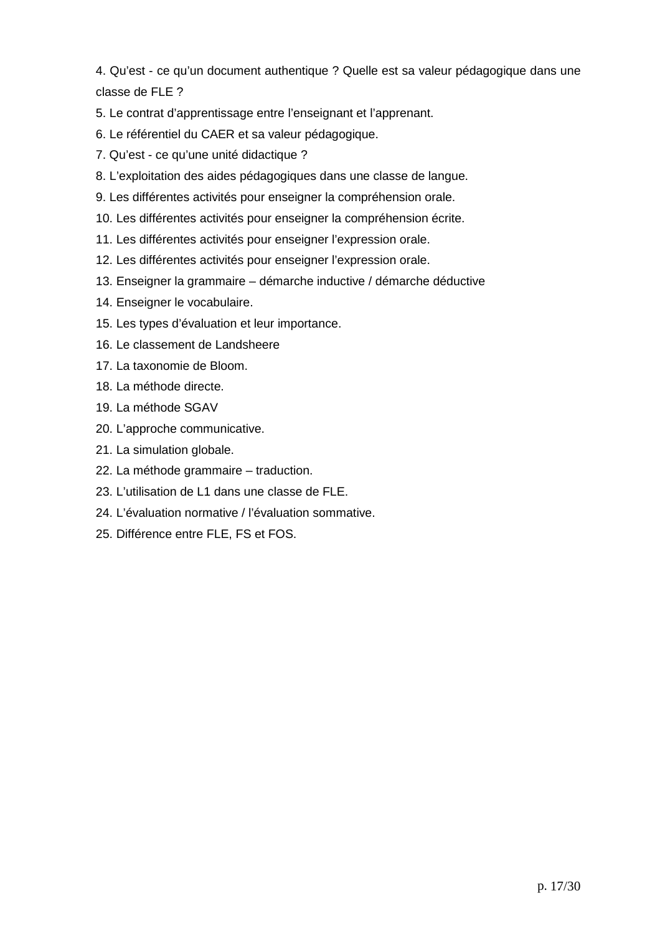4. Qu'est - ce qu'un document authentique ? Quelle est sa valeur pédagogique dans une classe de FLE ?

5. Le contrat d'apprentissage entre l'enseignant et l'apprenant.

- 6. Le référentiel du CAER et sa valeur pédagogique.
- 7. Qu'est ce qu'une unité didactique ?
- 8. L'exploitation des aides pédagogiques dans une classe de langue.
- 9. Les différentes activités pour enseigner la compréhension orale.
- 10. Les différentes activités pour enseigner la compréhension écrite.
- 11. Les différentes activités pour enseigner l'expression orale.
- 12. Les différentes activités pour enseigner l'expression orale.
- 13. Enseigner la grammaire démarche inductive / démarche déductive
- 14. Enseigner le vocabulaire.
- 15. Les types d'évaluation et leur importance.
- 16. Le classement de Landsheere
- 17. La taxonomie de Bloom.
- 18. La méthode directe.
- 19. La méthode SGAV
- 20. L'approche communicative.
- 21. La simulation globale.
- 22. La méthode grammaire traduction.
- 23. L'utilisation de L1 dans une classe de FLE.
- 24. L'évaluation normative / l'évaluation sommative.
- 25. Différence entre FLE, FS et FOS.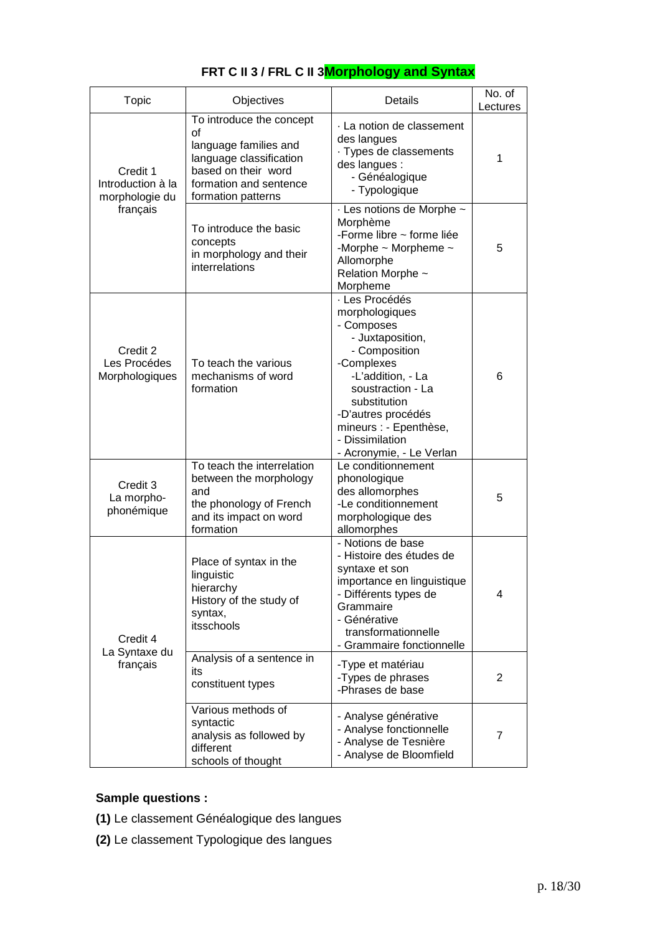| <b>Topic</b>                                    | Objectives                                                                                                                                                | Details                                                                                                                                                                                                                                                    | No. of<br>Lectures |
|-------------------------------------------------|-----------------------------------------------------------------------------------------------------------------------------------------------------------|------------------------------------------------------------------------------------------------------------------------------------------------------------------------------------------------------------------------------------------------------------|--------------------|
| Credit 1<br>Introduction à la<br>morphologie du | To introduce the concept<br>οf<br>language families and<br>language classification<br>based on their word<br>formation and sentence<br>formation patterns | La notion de classement<br>des langues<br>· Types de classements<br>des langues :<br>- Généalogique<br>- Typologique                                                                                                                                       | 1                  |
| français                                        | To introduce the basic<br>concepts<br>in morphology and their<br>interrelations                                                                           | - Les notions de Morphe ~<br>Morphème<br>-Forme libre ~ forme liée<br>-Morphe $\sim$ Morpheme $\sim$<br>Allomorphe<br>Relation Morphe ~<br>Morpheme                                                                                                        | 5                  |
| Credit 2<br>Les Procédes<br>Morphologiques      | To teach the various<br>mechanisms of word<br>formation                                                                                                   | · Les Procédés<br>morphologiques<br>- Composes<br>- Juxtaposition,<br>- Composition<br>-Complexes<br>-L'addition, - La<br>soustraction - La<br>substitution<br>-D'autres procédés<br>mineurs : - Epenthèse,<br>- Dissimilation<br>- Acronymie, - Le Verlan | 6                  |
| Credit 3<br>La morpho-<br>phonémique            | To teach the interrelation<br>between the morphology<br>and<br>the phonology of French<br>and its impact on word<br>formation                             | Le conditionnement<br>phonologique<br>des allomorphes<br>-Le conditionnement<br>morphologique des<br>allomorphes                                                                                                                                           | 5                  |
| Credit 4                                        | Place of syntax in the<br>linguistic<br>hierarchy<br>History of the study of<br>syntax,<br>itsschools                                                     | - Notions de base<br>- Histoire des études de<br>syntaxe et son<br>importance en linguistique<br>- Différents types de<br>Grammaire<br>- Générative<br>transformationnelle<br>- Grammaire fonctionnelle                                                    | 4                  |
| La Syntaxe du<br>français                       | Analysis of a sentence in<br>its<br>constituent types                                                                                                     | -Type et matériau<br>-Types de phrases<br>-Phrases de base                                                                                                                                                                                                 | 2                  |
|                                                 | Various methods of<br>syntactic<br>analysis as followed by<br>different<br>schools of thought                                                             | - Analyse générative<br>- Analyse fonctionnelle<br>- Analyse de Tesnière<br>- Analyse de Bloomfield                                                                                                                                                        | 7                  |

# **FRT C II 3 / FRL C II 3Morphology and Syntax**

# **Sample questions :**

- **(1)** Le classement Généalogique des langues
- **(2)** Le classement Typologique des langues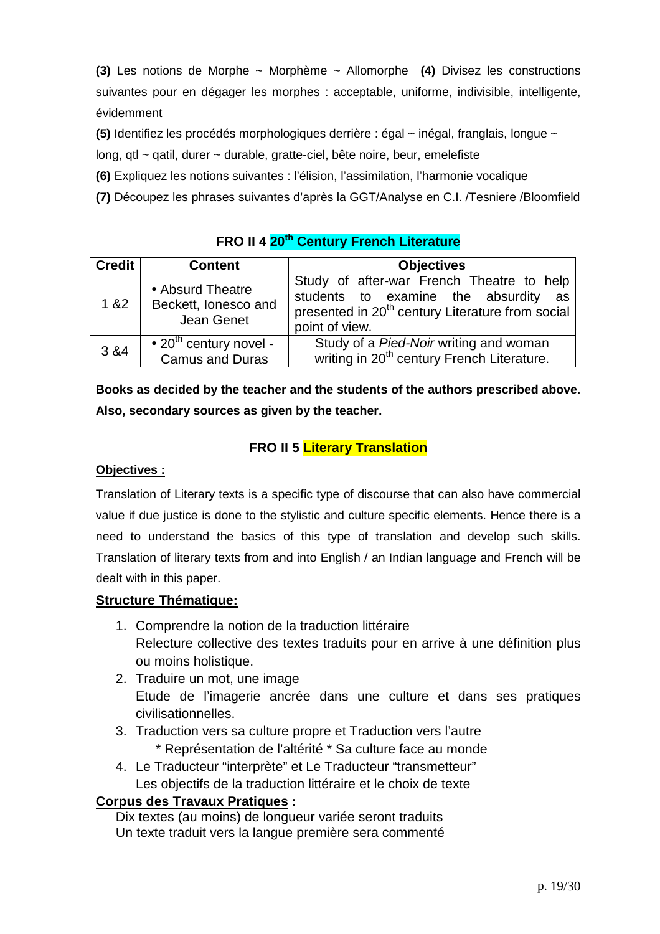**(3)** Les notions de Morphe ~ Morphème ~ Allomorphe **(4)** Divisez les constructions suivantes pour en dégager les morphes : acceptable, uniforme, indivisible, intelligente, évidemment

**(5)** Identifiez les procédés morphologiques derrière : égal ~ inégal, franglais, longue ~

long, qtl ~ qatil, durer ~ durable, gratte-ciel, bête noire, beur, emelefiste

**(6)** Expliquez les notions suivantes : l'élision, l'assimilation, l'harmonie vocalique

**(7)** Découpez les phrases suivantes d'après la GGT/Analyse en C.I. /Tesniere /Bloomfield

# **FRO II 4 20th Century French Literature**

| <b>Credit</b> | <b>Content</b>                                                       | <b>Objectives</b>                                                                                                                                                   |  |  |
|---------------|----------------------------------------------------------------------|---------------------------------------------------------------------------------------------------------------------------------------------------------------------|--|--|
| 1&82          | • Absurd Theatre<br>Beckett, lonesco and<br>Jean Genet               | Study of after-war French Theatre to help<br>students to examine the absurdity as<br>presented in 20 <sup>th</sup> century Literature from social<br>point of view. |  |  |
| 3 & 4         | $\bullet$ 20 <sup>th</sup> century novel -<br><b>Camus and Duras</b> | Study of a Pied-Noir writing and woman<br>writing in 20 <sup>th</sup> century French Literature.                                                                    |  |  |

**Books as decided by the teacher and the students of the authors prescribed above. Also, secondary sources as given by the teacher.** 

# **FRO II 5 Literary Translation**

### **Objectives :**

Translation of Literary texts is a specific type of discourse that can also have commercial value if due justice is done to the stylistic and culture specific elements. Hence there is a need to understand the basics of this type of translation and develop such skills. Translation of literary texts from and into English / an Indian language and French will be dealt with in this paper.

## **Structure Thématique:**

- 1. Comprendre la notion de la traduction littéraire Relecture collective des textes traduits pour en arrive à une définition plus ou moins holistique.
- 2. Traduire un mot, une image Etude de l'imagerie ancrée dans une culture et dans ses pratiques civilisationnelles.
- 3. Traduction vers sa culture propre et Traduction vers l'autre \* Représentation de l'altérité \* Sa culture face au monde
- 4. Le Traducteur "interprète" et Le Traducteur "transmetteur" Les objectifs de la traduction littéraire et le choix de texte

## **Corpus des Travaux Pratiques :**

Dix textes (au moins) de longueur variée seront traduits Un texte traduit vers la langue première sera commenté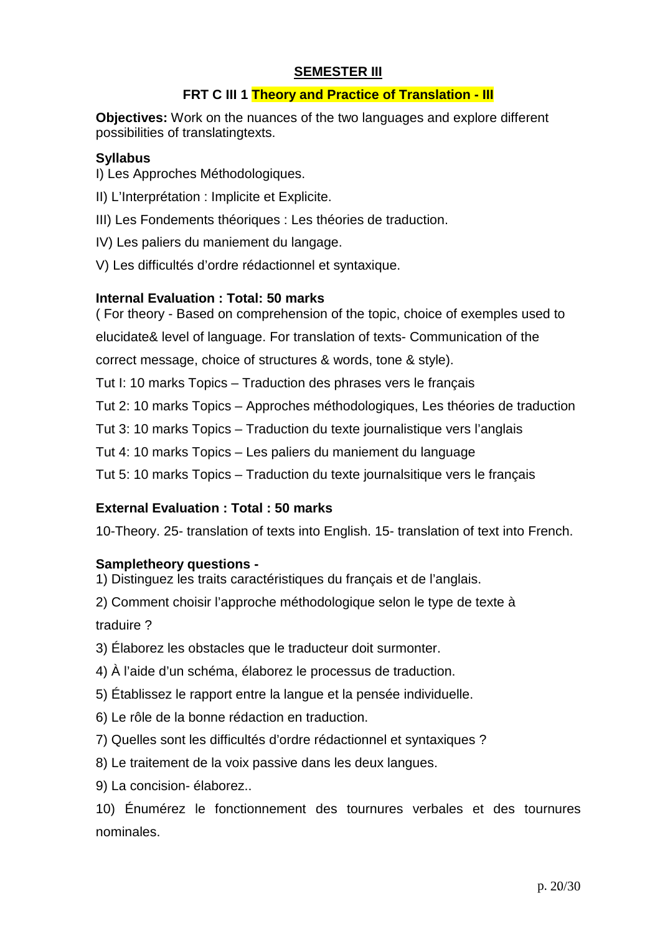### **SEMESTER III**

### **FRT C III 1 Theory and Practice of Translation - III**

**Objectives:** Work on the nuances of the two languages and explore different possibilities of translatingtexts.

### **Syllabus**

I) Les Approches Méthodologiques.

- II) L'Interprétation : Implicite et Explicite.
- III) Les Fondements théoriques : Les théories de traduction.
- IV) Les paliers du maniement du langage.
- V) Les difficultés d'ordre rédactionnel et syntaxique.

### **Internal Evaluation : Total: 50 marks**

( For theory - Based on comprehension of the topic, choice of exemples used to elucidate& level of language. For translation of texts- Communication of the correct message, choice of structures & words, tone & style).

Tut I: 10 marks Topics – Traduction des phrases vers le français

Tut 2: 10 marks Topics – Approches méthodologiques, Les théories de traduction

Tut 3: 10 marks Topics – Traduction du texte journalistique vers l'anglais

Tut 4: 10 marks Topics – Les paliers du maniement du language

Tut 5: 10 marks Topics – Traduction du texte journalsitique vers le français

### **External Evaluation : Total : 50 marks**

10-Theory. 25- translation of texts into English. 15- translation of text into French.

### **Sampletheory questions -**

1) Distinguez les traits caractéristiques du français et de l'anglais.

2) Comment choisir l'approche méthodologique selon le type de texte à traduire ?

- 3) Élaborez les obstacles que le traducteur doit surmonter.
- 4) À l'aide d'un schéma, élaborez le processus de traduction.
- 5) Établissez le rapport entre la langue et la pensée individuelle.
- 6) Le rôle de la bonne rédaction en traduction.
- 7) Quelles sont les difficultés d'ordre rédactionnel et syntaxiques ?
- 8) Le traitement de la voix passive dans les deux langues.
- 9) La concision- élaborez..

10) Énumérez le fonctionnement des tournures verbales et des tournures nominales.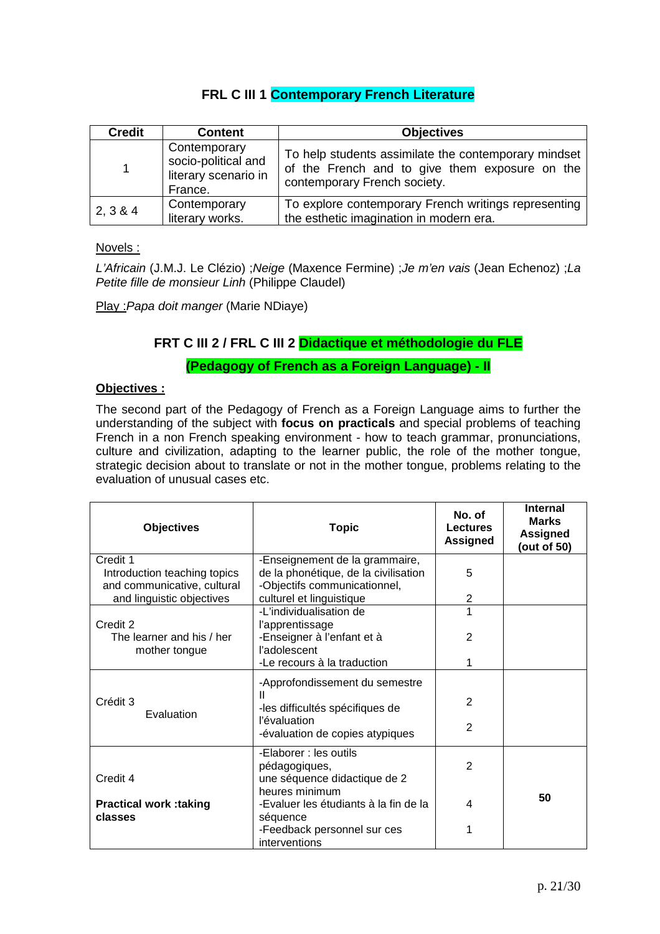## **FRL C III 1 Contemporary French Literature**

| <b>Credit</b> | <b>Content</b>                                                         | <b>Objectives</b>                                                                                                                      |
|---------------|------------------------------------------------------------------------|----------------------------------------------------------------------------------------------------------------------------------------|
| 1             | Contemporary<br>socio-political and<br>literary scenario in<br>France. | To help students assimilate the contemporary mindset<br>of the French and to give them exposure on the<br>contemporary French society. |
| 2, 3 & 4      | Contemporary<br>literary works.                                        | To explore contemporary French writings representing<br>the esthetic imagination in modern era.                                        |

Novels :

L'Africain (J.M.J. Le Clézio) ;Neige (Maxence Fermine) ;Je m'en vais (Jean Echenoz) ;La Petite fille de monsieur Linh (Philippe Claudel)

Play :Papa doit manger (Marie NDiaye)

### **FRT C III 2 / FRL C III 2 Didactique et méthodologie du FLE**

**(Pedagogy of French as a Foreign Language) - II** 

#### **Objectives :**

The second part of the Pedagogy of French as a Foreign Language aims to further the understanding of the subject with **focus on practicals** and special problems of teaching French in a non French speaking environment - how to teach grammar, pronunciations, culture and civilization, adapting to the learner public, the role of the mother tongue, strategic decision about to translate or not in the mother tongue, problems relating to the evaluation of unusual cases etc.

| <b>Objectives</b>                                           | <b>Topic</b>                                                         | No. of<br><b>Lectures</b><br><b>Assigned</b> | <b>Internal</b><br><b>Marks</b><br><b>Assigned</b><br>(out of 50) |
|-------------------------------------------------------------|----------------------------------------------------------------------|----------------------------------------------|-------------------------------------------------------------------|
| Credit 1                                                    | -Enseignement de la grammaire,                                       |                                              |                                                                   |
| Introduction teaching topics<br>and communicative, cultural | de la phonétique, de la civilisation<br>-Objectifs communicationnel, | 5                                            |                                                                   |
| and linguistic objectives                                   | culturel et linguistique                                             | $\overline{2}$                               |                                                                   |
|                                                             | -L'individualisation de                                              | 1                                            |                                                                   |
| Credit 2                                                    | l'apprentissage                                                      | 2                                            |                                                                   |
| The learner and his / her<br>mother tongue                  | -Enseigner à l'enfant et à<br>l'adolescent                           |                                              |                                                                   |
|                                                             | -Le recours à la traduction                                          | 1                                            |                                                                   |
|                                                             | -Approfondissement du semestre                                       |                                              |                                                                   |
| Crédit 3                                                    | Ш                                                                    | 2                                            |                                                                   |
| Evaluation                                                  | -les difficultés spécifiques de<br>l'évaluation                      |                                              |                                                                   |
|                                                             | -évaluation de copies atypiques                                      | 2                                            |                                                                   |
|                                                             | -Elaborer : les outils                                               |                                              |                                                                   |
|                                                             | pédagogiques,                                                        | $\overline{2}$                               |                                                                   |
| Credit 4                                                    | une séquence didactique de 2                                         |                                              |                                                                   |
|                                                             | heures minimum<br>-Evaluer les étudiants à la fin de la              | 4                                            | 50                                                                |
| <b>Practical work :taking</b><br>classes                    | séquence                                                             |                                              |                                                                   |
|                                                             | -Feedback personnel sur ces                                          | 1                                            |                                                                   |
|                                                             | interventions                                                        |                                              |                                                                   |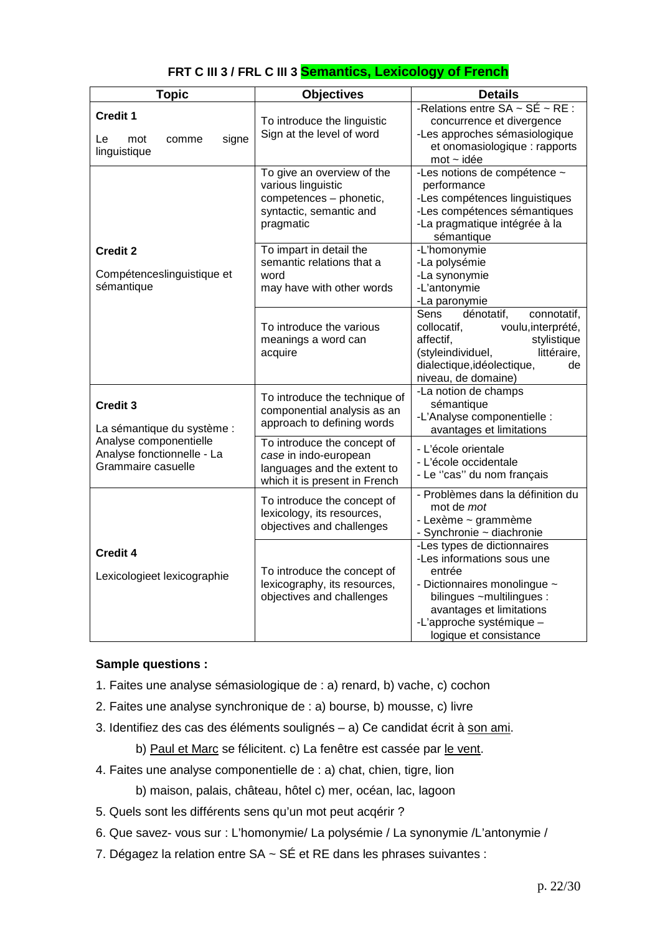| <b>Topic</b>                                                               | <b>Objectives</b>                                                                                                    | <b>Details</b>                                                                                                                                                                                                     |
|----------------------------------------------------------------------------|----------------------------------------------------------------------------------------------------------------------|--------------------------------------------------------------------------------------------------------------------------------------------------------------------------------------------------------------------|
| <b>Credit 1</b><br>signe<br>Le<br>mot<br>comme<br>linguistique             | To introduce the linguistic<br>Sign at the level of word                                                             | -Relations entre $SA \sim SÉ \sim RE$ :<br>concurrence et divergence<br>-Les approches sémasiologique<br>et onomasiologique : rapports<br>$mot$ ~ $ide$                                                            |
|                                                                            | To give an overview of the<br>various linguistic<br>competences - phonetic,<br>syntactic, semantic and<br>pragmatic  | -Les notions de compétence ~<br>performance<br>-Les compétences linguistiques<br>-Les compétences sémantiques<br>-La pragmatique intégrée à la<br>sémantique                                                       |
| <b>Credit 2</b><br>Compétenceslinguistique et<br>sémantique                | To impart in detail the<br>semantic relations that a<br>word<br>may have with other words                            | -L'homonymie<br>-La polysémie<br>-La synonymie<br>-L'antonymie<br>-La paronymie                                                                                                                                    |
|                                                                            | To introduce the various<br>meanings a word can<br>acquire                                                           | Sens<br>dénotatif,<br>connotatif,<br>voulu, interprété,<br>collocatif,<br>stylistique<br>affectif,<br>(styleindividuel,<br>littéraire,<br>dialectique, idéolectique,<br>de<br>niveau, de domaine)                  |
| <b>Credit 3</b><br>La sémantique du système :                              | To introduce the technique of<br>componential analysis as an<br>approach to defining words                           | -La notion de champs<br>sémantique<br>-L'Analyse componentielle :<br>avantages et limitations                                                                                                                      |
| Analyse componentielle<br>Analyse fonctionnelle - La<br>Grammaire casuelle | To introduce the concept of<br>case in indo-european<br>languages and the extent to<br>which it is present in French | - L'école orientale<br>- L'école occidentale<br>- Le "cas" du nom français                                                                                                                                         |
|                                                                            | To introduce the concept of<br>lexicology, its resources,<br>objectives and challenges                               | - Problèmes dans la définition du<br>mot de <i>mot</i><br>- Lexème ~ grammème<br>- Synchronie ~ diachronie                                                                                                         |
| <b>Credit 4</b><br>Lexicologieet lexicographie                             | To introduce the concept of<br>lexicography, its resources,<br>objectives and challenges                             | -Les types de dictionnaires<br>-Les informations sous une<br>entrée<br>- Dictionnaires monolingue ~<br>bilingues ~multilingues :<br>avantages et limitations<br>-L'approche systémique -<br>logique et consistance |

### **FRT C III 3 / FRL C III 3 Semantics, Lexicology of French**

### **Sample questions :**

- 1. Faites une analyse sémasiologique de : a) renard, b) vache, c) cochon
- 2. Faites une analyse synchronique de : a) bourse, b) mousse, c) livre
- 3. Identifiez des cas des éléments soulignés a) Ce candidat écrit à son ami.
	- b) Paul et Marc se félicitent. c) La fenêtre est cassée par le vent.
- 4. Faites une analyse componentielle de : a) chat, chien, tigre, lion
	- b) maison, palais, château, hôtel c) mer, océan, lac, lagoon
- 5. Quels sont les différents sens qu'un mot peut acqérir ?
- 6. Que savez- vous sur : L'homonymie/ La polysémie / La synonymie /L'antonymie /
- 7. Dégagez la relation entre SA ~ SÉ et RE dans les phrases suivantes :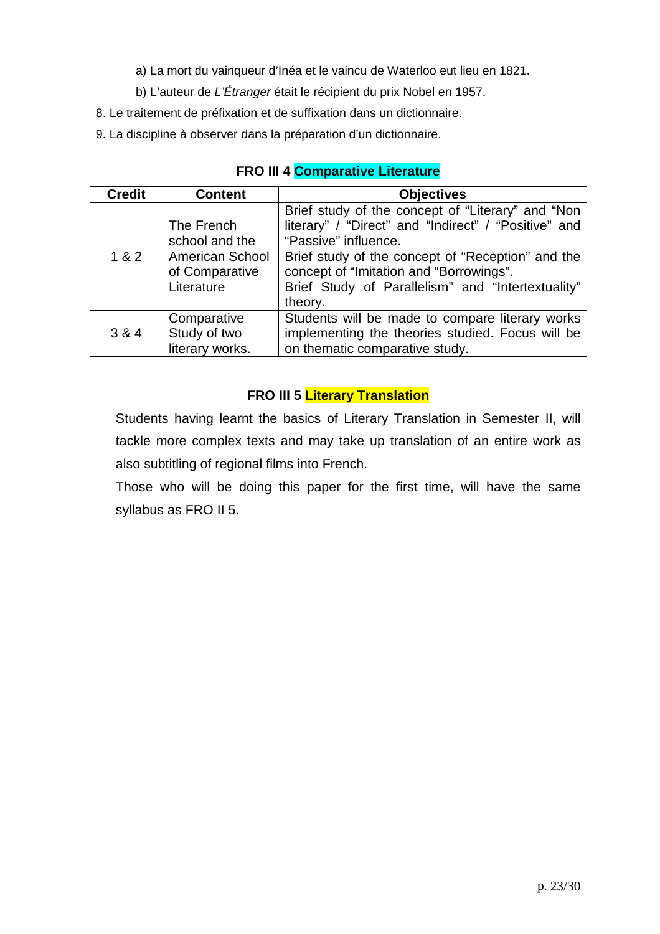- a) La mort du vainqueur d'Inéa et le vaincu de Waterloo eut lieu en 1821.
- b) L'auteur de L'Étranger était le récipient du prix Nobel en 1957.
- 8. Le traitement de préfixation et de suffixation dans un dictionnaire.
- 9. La discipline à observer dans la préparation d'un dictionnaire.

| <b>Credit</b> | <b>Content</b>                                                                  | <b>Objectives</b>                                                                                                                                                                                                                                                                                 |
|---------------|---------------------------------------------------------------------------------|---------------------------------------------------------------------------------------------------------------------------------------------------------------------------------------------------------------------------------------------------------------------------------------------------|
| 1 & 2         | The French<br>school and the<br>American School<br>of Comparative<br>Literature | Brief study of the concept of "Literary" and "Non<br>literary" / "Direct" and "Indirect" / "Positive" and<br>"Passive" influence.<br>Brief study of the concept of "Reception" and the<br>concept of "Imitation and "Borrowings".<br>Brief Study of Parallelism" and "Intertextuality"<br>theory. |
| 3 & 4         | Comparative<br>Study of two<br>literary works.                                  | Students will be made to compare literary works<br>implementing the theories studied. Focus will be<br>on thematic comparative study.                                                                                                                                                             |

**FRO III 4 Comparative Literature** 

## **FRO III 5 Literary Translation**

Students having learnt the basics of Literary Translation in Semester II, will tackle more complex texts and may take up translation of an entire work as also subtitling of regional films into French.

Those who will be doing this paper for the first time, will have the same syllabus as FRO II 5.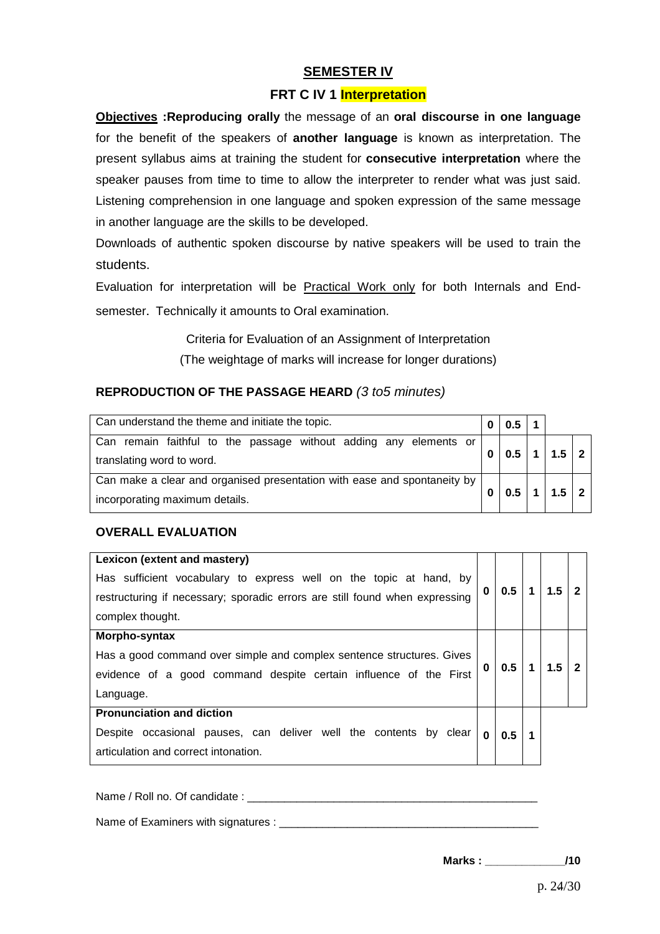### **SEMESTER IV**

#### **FRT C IV 1 Interpretation**

**Objectives :Reproducing orally** the message of an **oral discourse in one language** for the benefit of the speakers of **another language** is known as interpretation. The present syllabus aims at training the student for **consecutive interpretation** where the speaker pauses from time to time to allow the interpreter to render what was just said. Listening comprehension in one language and spoken expression of the same message in another language are the skills to be developed.

Downloads of authentic spoken discourse by native speakers will be used to train the students.

Evaluation for interpretation will be Practical Work only for both Internals and Endsemester. Technically it amounts to Oral examination.

> Criteria for Evaluation of an Assignment of Interpretation (The weightage of marks will increase for longer durations)

### **REPRODUCTION OF THE PASSAGE HEARD** (3 to5 minutes)

| Can understand the theme and initiate the topic.                                                           |   |     |                         |     |  |
|------------------------------------------------------------------------------------------------------------|---|-----|-------------------------|-----|--|
| Can remain faithful to the passage without adding any elements or<br>translating word to word.             | 0 | 0.5 | $\overline{\mathbf{1}}$ | 1.5 |  |
| Can make a clear and organised presentation with ease and spontaneity by<br>incorporating maximum details. |   | 0.5 |                         | 1.5 |  |

#### **OVERALL EVALUATION**

| Lexicon (extent and mastery)                                                |   |     |   |     |  |
|-----------------------------------------------------------------------------|---|-----|---|-----|--|
| Has sufficient vocabulary to express well on the topic at hand, by          |   |     |   |     |  |
| restructuring if necessary; sporadic errors are still found when expressing | 0 | 0.5 | 1 | 1.5 |  |
| complex thought.                                                            |   |     |   |     |  |
| Morpho-syntax                                                               |   |     |   |     |  |
| Has a good command over simple and complex sentence structures. Gives       |   |     | 1 |     |  |
| evidence of a good command despite certain influence of the First           |   |     |   |     |  |
| Language.                                                                   |   |     |   |     |  |
| <b>Pronunciation and diction</b>                                            |   |     |   |     |  |
| Despite occasional pauses, can deliver well the contents by clear           | 0 | 0.5 | 1 |     |  |
| articulation and correct intonation.                                        |   |     |   |     |  |

Name / Roll no. Of candidate :

Name of Examiners with signatures :

**Marks : \_\_\_\_\_\_\_\_\_\_\_\_\_/10**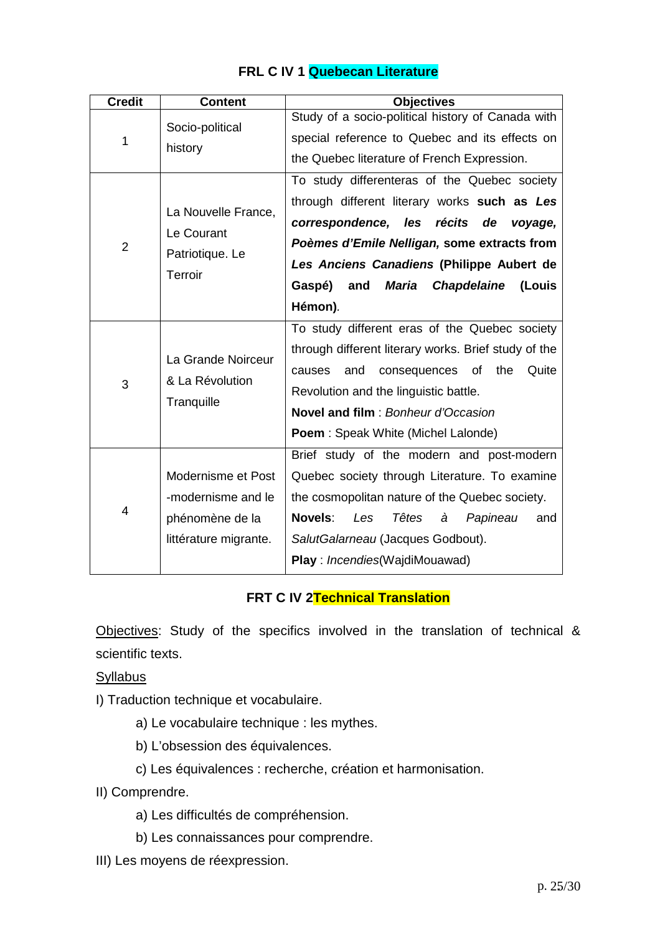| <b>Credit</b>                                                                     | <b>Content</b>                                    | <b>Objectives</b>                                             |
|-----------------------------------------------------------------------------------|---------------------------------------------------|---------------------------------------------------------------|
| Socio-political<br>1<br>history                                                   | Study of a socio-political history of Canada with |                                                               |
|                                                                                   |                                                   | special reference to Quebec and its effects on                |
|                                                                                   |                                                   | the Quebec literature of French Expression.                   |
| La Nouvelle France,<br>Le Courant<br>$\overline{2}$<br>Patriotique. Le<br>Terroir |                                                   | To study differenteras of the Quebec society                  |
|                                                                                   |                                                   | through different literary works such as Les                  |
|                                                                                   |                                                   | correspondence, les récits de<br>voyage,                      |
|                                                                                   |                                                   | Poèmes d'Emile Nelligan, some extracts from                   |
|                                                                                   |                                                   | Les Anciens Canadiens (Philippe Aubert de                     |
|                                                                                   |                                                   | <b>Maria</b><br>Gaspé)<br>and<br><b>Chapdelaine</b><br>(Louis |
|                                                                                   | Hémon).                                           |                                                               |
|                                                                                   |                                                   | To study different eras of the Quebec society                 |
|                                                                                   | La Grande Noirceur                                | through different literary works. Brief study of the          |
|                                                                                   |                                                   | and<br>consequences<br>of<br>the<br>Quite<br>causes           |
| & La Révolution<br>3<br>Tranquille                                                |                                                   | Revolution and the linguistic battle.                         |
|                                                                                   |                                                   | Novel and film: Bonheur d'Occasion                            |
|                                                                                   |                                                   | <b>Poem</b> : Speak White (Michel Lalonde)                    |
| 4                                                                                 |                                                   | Brief study of the modern and post-modern                     |
|                                                                                   | Modernisme et Post                                | Quebec society through Literature. To examine                 |
|                                                                                   | -modernisme and le                                | the cosmopolitan nature of the Quebec society.                |
|                                                                                   | phénomène de la                                   | Novels:<br>Têtes<br>Papineau<br>Les<br>à<br>and               |
|                                                                                   | littérature migrante.                             | SalutGalarneau (Jacques Godbout).                             |
|                                                                                   |                                                   | <b>Play</b> : <i>Incendies</i> (WajdiMouawad)                 |

# **FRL C IV 1 Quebecan Literature**

# **FRT C IV 2Technical Translation**

Objectives: Study of the specifics involved in the translation of technical & scientific texts.

**Syllabus** 

I) Traduction technique et vocabulaire.

- a) Le vocabulaire technique : les mythes.
- b) L'obsession des équivalences.
- c) Les équivalences : recherche, création et harmonisation.

II) Comprendre.

- a) Les difficultés de compréhension.
- b) Les connaissances pour comprendre.
- III) Les moyens de réexpression.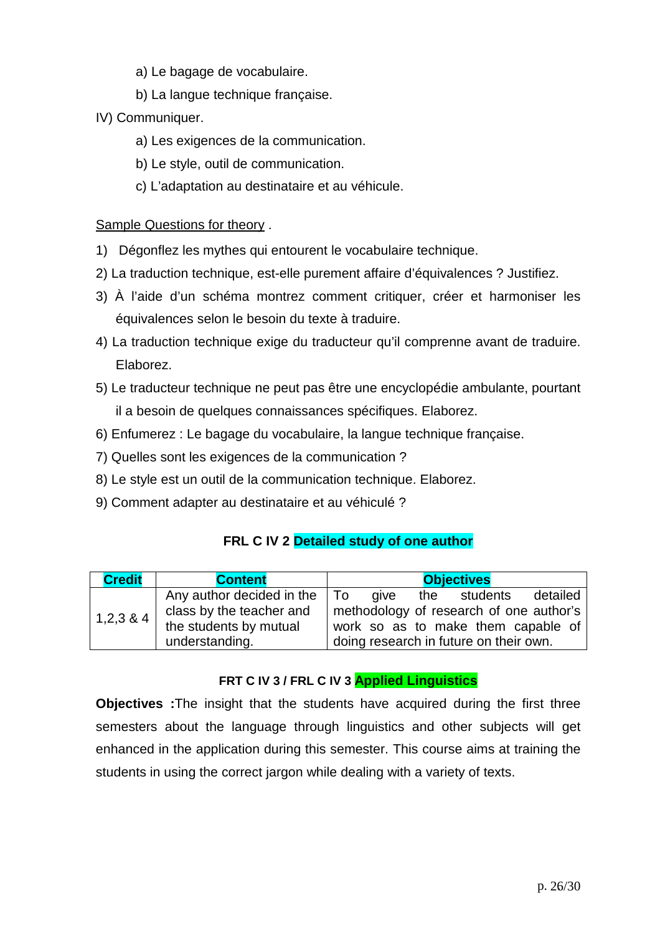- a) Le bagage de vocabulaire.
- b) La langue technique française.
- IV) Communiquer.
	- a) Les exigences de la communication.
	- b) Le style, outil de communication.
	- c) L'adaptation au destinataire et au véhicule.

### Sample Questions for theory .

- 1) Dégonflez les mythes qui entourent le vocabulaire technique.
- 2) La traduction technique, est-elle purement affaire d'équivalences ? Justifiez.
- 3) À l'aide d'un schéma montrez comment critiquer, créer et harmoniser les équivalences selon le besoin du texte à traduire.
- 4) La traduction technique exige du traducteur qu'il comprenne avant de traduire. Elaborez.
- 5) Le traducteur technique ne peut pas être une encyclopédie ambulante, pourtant il a besoin de quelques connaissances spécifiques. Elaborez.
- 6) Enfumerez : Le bagage du vocabulaire, la langue technique française.
- 7) Quelles sont les exigences de la communication ?
- 8) Le style est un outil de la communication technique. Elaborez.
- 9) Comment adapter au destinataire et au véhiculé ?

## **FRL C IV 2 Detailed study of one author**

| <b>Credit</b> | <b>Content</b>                                                                                               | <b>Objectives</b>                                                                                                                                           |
|---------------|--------------------------------------------------------------------------------------------------------------|-------------------------------------------------------------------------------------------------------------------------------------------------------------|
| $1,2,3$ & 4   | Any author decided in the $\vert$ To<br>class by the teacher and<br>the students by mutual<br>understanding. | detailed<br>aive<br>the students<br>methodology of research of one author's<br>work so as to make them capable of<br>doing research in future on their own. |

### **FRT C IV 3 / FRL C IV 3 Applied Linguistics**

**Objectives :**The insight that the students have acquired during the first three semesters about the language through linguistics and other subjects will get enhanced in the application during this semester. This course aims at training the students in using the correct jargon while dealing with a variety of texts.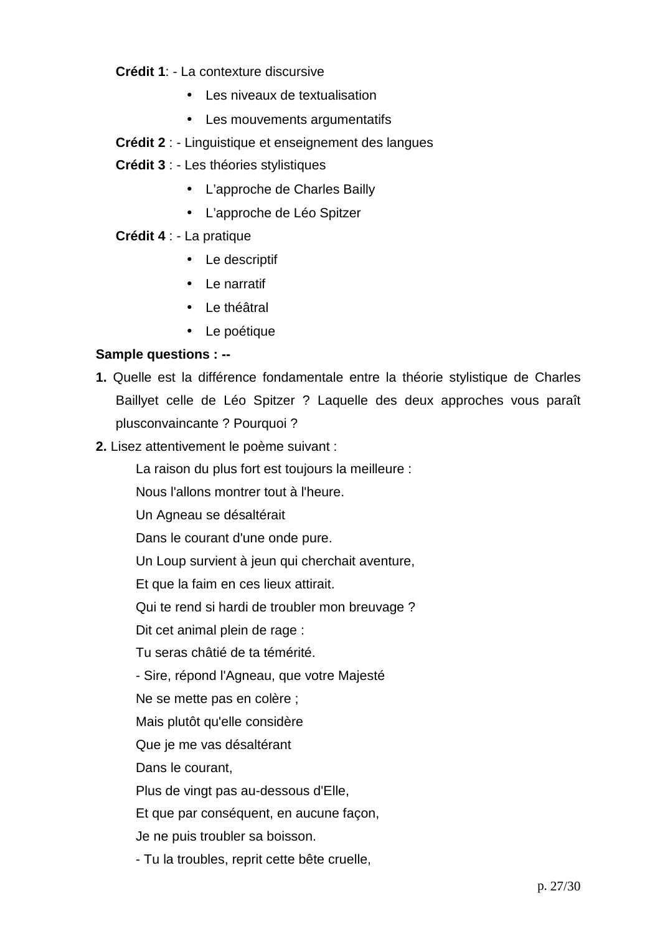**Crédit 1**: - La contexture discursive

- Les niveaux de textualisation
- Les mouvements argumentatifs
- **Crédit 2** : Linguistique et enseignement des langues
- **Crédit 3** : Les théories stylistiques
	- L'approche de Charles Bailly
	- L'approche de Léo Spitzer

### **Crédit 4** : - La pratique

- Le descriptif
- Le narratif
- Le théâtral
- Le poétique

### **Sample questions : --**

- **1.** Quelle est la différence fondamentale entre la théorie stylistique de Charles Baillyet celle de Léo Spitzer ? Laquelle des deux approches vous paraît plusconvaincante ? Pourquoi ?
- **2.** Lisez attentivement le poème suivant :

La raison du plus fort est toujours la meilleure :

Nous l'allons montrer tout à l'heure.

Un Agneau se désaltérait

Dans le courant d'une onde pure.

Un Loup survient à jeun qui cherchait aventure,

Et que la faim en ces lieux attirait.

Qui te rend si hardi de troubler mon breuvage ?

Dit cet animal plein de rage :

Tu seras châtié de ta témérité.

- Sire, répond l'Agneau, que votre Majesté

Ne se mette pas en colère ;

Mais plutôt qu'elle considère

Que je me vas désaltérant

Dans le courant,

Plus de vingt pas au-dessous d'Elle,

Et que par conséquent, en aucune façon,

Je ne puis troubler sa boisson.

- Tu la troubles, reprit cette bête cruelle,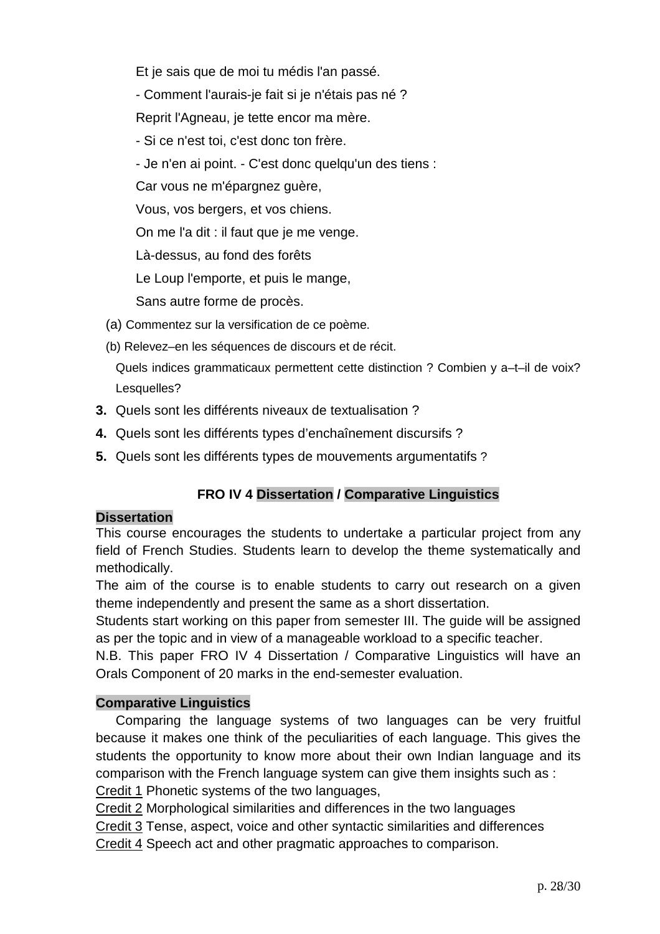Et je sais que de moi tu médis l'an passé.

- Comment l'aurais-je fait si je n'étais pas né ?

Reprit l'Agneau, je tette encor ma mère.

- Si ce n'est toi, c'est donc ton frère.

- Je n'en ai point. - C'est donc quelqu'un des tiens :

Car vous ne m'épargnez guère,

Vous, vos bergers, et vos chiens.

On me l'a dit : il faut que je me venge.

Là-dessus, au fond des forêts

Le Loup l'emporte, et puis le mange,

Sans autre forme de procès.

- (a) Commentez sur la versification de ce poème.
- (b) Relevez–en les séquences de discours et de récit.

Quels indices grammaticaux permettent cette distinction ? Combien y a–t–il de voix? Lesquelles?

- **3.** Quels sont les différents niveaux de textualisation ?
- **4.** Quels sont les différents types d'enchaînement discursifs ?
- **5.** Quels sont les différents types de mouvements argumentatifs ?

# **FRO IV 4 Dissertation / Comparative Linguistics**

## **Dissertation**

This course encourages the students to undertake a particular project from any field of French Studies. Students learn to develop the theme systematically and methodically.

The aim of the course is to enable students to carry out research on a given theme independently and present the same as a short dissertation.

Students start working on this paper from semester III. The guide will be assigned as per the topic and in view of a manageable workload to a specific teacher.

N.B. This paper FRO IV 4 Dissertation / Comparative Linguistics will have an Orals Component of 20 marks in the end-semester evaluation.

## **Comparative Linguistics**

 Comparing the language systems of two languages can be very fruitful because it makes one think of the peculiarities of each language. This gives the students the opportunity to know more about their own Indian language and its comparison with the French language system can give them insights such as :

Credit 1 Phonetic systems of the two languages,

Credit 2 Morphological similarities and differences in the two languages

Credit 3 Tense, aspect, voice and other syntactic similarities and differences

Credit 4 Speech act and other pragmatic approaches to comparison.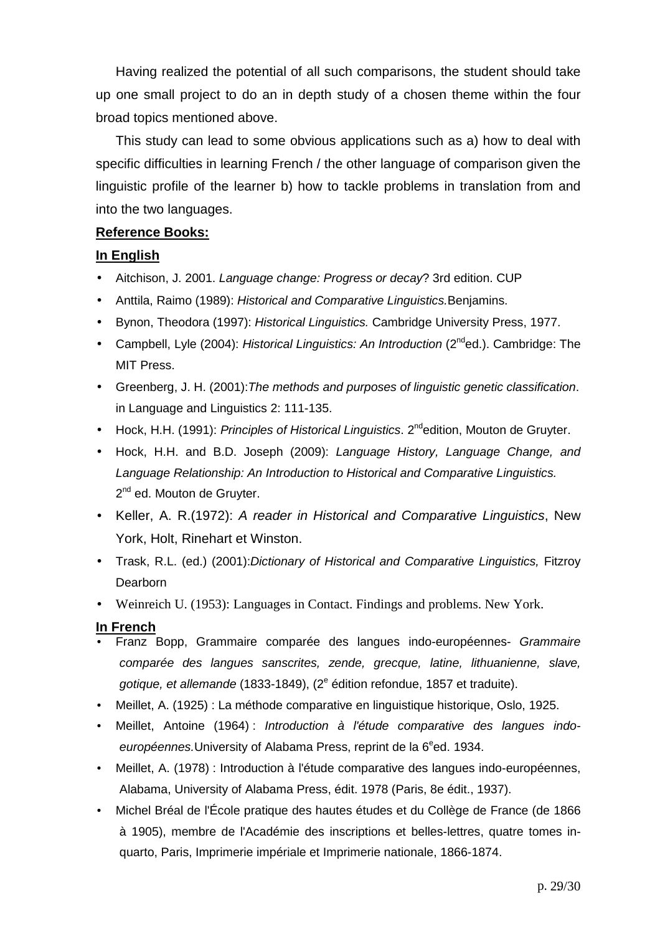Having realized the potential of all such comparisons, the student should take up one small project to do an in depth study of a chosen theme within the four broad topics mentioned above.

 This study can lead to some obvious applications such as a) how to deal with specific difficulties in learning French / the other language of comparison given the linguistic profile of the learner b) how to tackle problems in translation from and into the two languages.

### **Reference Books:**

### **In English**

- Aitchison, J. 2001. Language change: Progress or decay? 3rd edition. CUP
- Anttila, Raimo (1989): Historical and Comparative Linguistics. Benjamins.
- Bynon, Theodora (1997): Historical Linguistics. Cambridge University Press, 1977.
- Campbell, Lyle (2004): Historical Linguistics: An Introduction ( $2^{nd}$ ed.). Cambridge: The MIT Press.
- Greenberg, J. H. (2001): The methods and purposes of linguistic genetic classification. in Language and Linguistics 2: 111-135.
- Hock, H.H. (1991): Principles of Historical Linguistics. 2<sup>nd</sup>edition, Mouton de Gruyter.
- Hock, H.H. and B.D. Joseph (2009): Language History, Language Change, and Language Relationship: An Introduction to Historical and Comparative Linguistics. 2<sup>nd</sup> ed. Mouton de Gruyter.
- Keller, A. R.(1972): A reader in Historical and Comparative Linguistics, New York, Holt, Rinehart et Winston.
- Trask, R.L. (ed.) (2001):Dictionary of Historical and Comparative Linguistics, Fitzroy **Dearborn**
- Weinreich U. (1953): Languages in Contact. Findings and problems. New York.

#### **In French**

- Franz Bopp, Grammaire comparée des langues indo-européennes- Grammaire comparée des langues sanscrites, zende, grecque, latine, lithuanienne, slave, gotique, et allemande (1833-1849), (2<sup>e</sup> édition refondue, 1857 et traduite).
- Meillet, A. (1925) : La méthode comparative en linguistique historique, Oslo, 1925.
- Meillet, Antoine (1964) : Introduction à l'étude comparative des langues indoeuropéennes. University of Alabama Press, reprint de la 6<sup>e</sup>ed. 1934.
- Meillet, A. (1978) : Introduction à l'étude comparative des langues indo-européennes, Alabama, University of Alabama Press, édit. 1978 (Paris, 8e édit., 1937).
- Michel Bréal de l'École pratique des hautes études et du Collège de France (de 1866 à 1905), membre de l'Académie des inscriptions et belles-lettres, quatre tomes in quarto, Paris, Imprimerie impériale et Imprimerie nationale, 1866-1874.